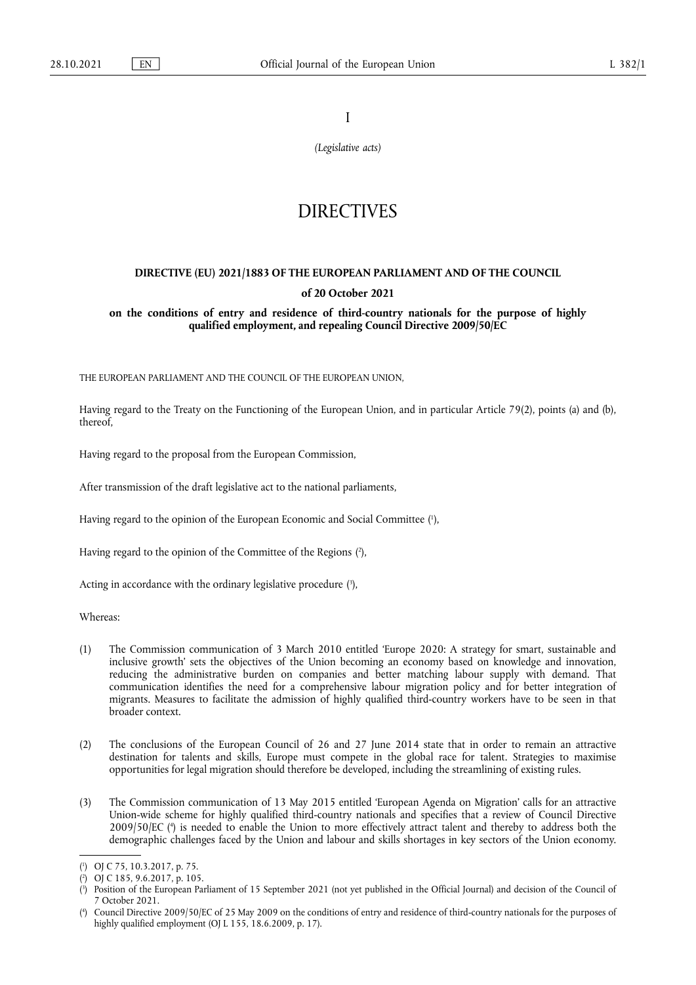I

*(Legislative acts)*

# **DIRECTIVES**

# **DIRECTIVE (EU) 2021/1883 OF THE EUROPEAN PARLIAMENT AND OF THE COUNCIL of 20 October 2021**

**on the conditions of entry and residence of third-country nationals for the purpose of highly qualified employment, and repealing Council Directive 2009/50/EC** 

THE EUROPEAN PARLIAMENT AND THE COUNCIL OF THE EUROPEAN UNION,

Having regard to the Treaty on the Functioning of the European Union, and in particular Article 79(2), points (a) and (b), thereof,

Having regard to the proposal from the European Commission,

After transmission of the draft legislative act to the national parliaments,

<span id="page-0-4"></span>Having regard to the opinion of the European Economic and Social Committee ( 1 [\),](#page-0-0)

<span id="page-0-5"></span>Having regard to the opinion of the Committee of the Regions ( 2 [\),](#page-0-1)

<span id="page-0-6"></span>Acting in accordance with the ordinary legislative procedure [\(](#page-0-2) 3 ),

Whereas:

- (1) The Commission communication of 3 March 2010 entitled 'Europe 2020: A strategy for smart, sustainable and inclusive growth' sets the objectives of the Union becoming an economy based on knowledge and innovation, reducing the administrative burden on companies and better matching labour supply with demand. That communication identifies the need for a comprehensive labour migration policy and for better integration of migrants. Measures to facilitate the admission of highly qualified third-country workers have to be seen in that broader context.
- (2) The conclusions of the European Council of 26 and 27 June 2014 state that in order to remain an attractive destination for talents and skills, Europe must compete in the global race for talent. Strategies to maximise opportunities for legal migration should therefore be developed, including the streamlining of existing rules.
- <span id="page-0-7"></span>(3) The Commission communication of 13 May 2015 entitled 'European Agenda on Migration' calls for an attractive Union-wide scheme for highly qualified third-country nationals and specifies that a review of Council Directive 2009/50/EC ( 4 [\)](#page-0-3) is needed to enable the Union to more effectively attract talent and thereby to address both the demographic challenges faced by the Union and labour and skills shortages in key sectors of the Union economy.

- <span id="page-0-1"></span>[\(](#page-0-5) 2 ) OJ C 185, 9.6.2017, p. 105.
- <span id="page-0-2"></span>[\(](#page-0-6) 3 ) Position of the European Parliament of 15 September 2021 (not yet published in the Official Journal) and decision of the Council of 7 October 2021.

<span id="page-0-0"></span>[<sup>\(</sup>](#page-0-4) 1 ) OJ C 75, 10.3.2017, p. 75.

<span id="page-0-3"></span>[<sup>\(</sup>](#page-0-7) 4 ) Council Directive 2009/50/EC of 25 May 2009 on the conditions of entry and residence of third-country nationals for the purposes of highly qualified employment (OJ L 155, 18.6.2009, p. 17).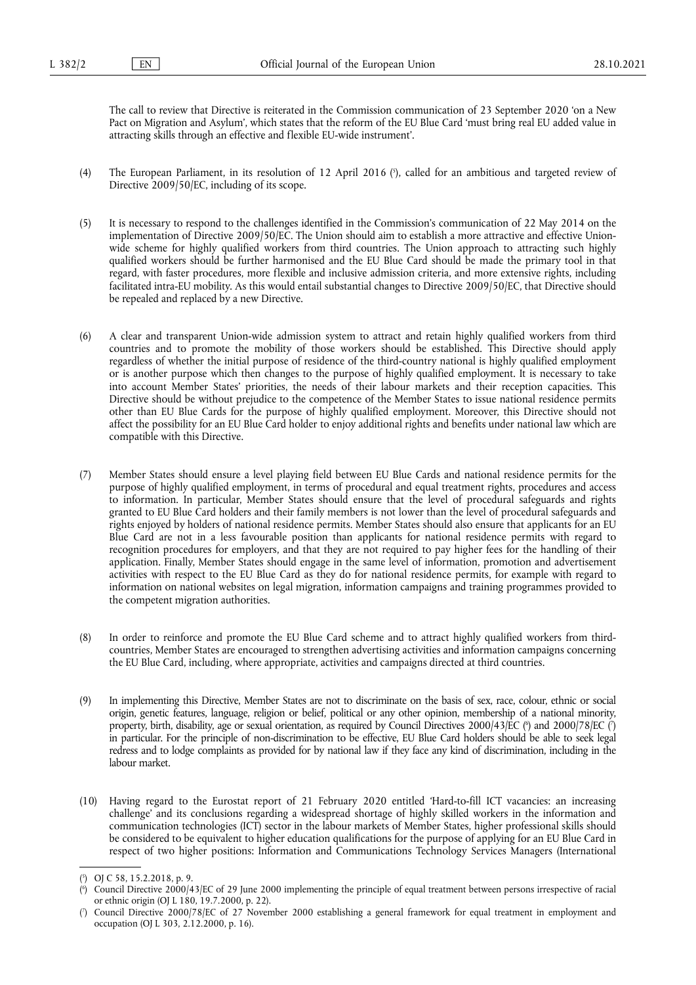The call to review that Directive is reiterated in the Commission communication of 23 September 2020 'on a New Pact on Migration and Asylum', which states that the reform of the EU Blue Card 'must bring real EU added value in attracting skills through an effective and flexible EU-wide instrument'.

- <span id="page-1-3"></span>[\(](#page-1-0)4) The European Parliament, in its resolution of 12 April 2016 ( $\hat{ }$ ), called for an ambitious and targeted review of Directive 2009/50/EC, including of its scope.
- (5) It is necessary to respond to the challenges identified in the Commission's communication of 22 May 2014 on the implementation of Directive 2009/50/EC. The Union should aim to establish a more attractive and effective Unionwide scheme for highly qualified workers from third countries. The Union approach to attracting such highly qualified workers should be further harmonised and the EU Blue Card should be made the primary tool in that regard, with faster procedures, more flexible and inclusive admission criteria, and more extensive rights, including facilitated intra-EU mobility. As this would entail substantial changes to Directive 2009/50/EC, that Directive should be repealed and replaced by a new Directive.
- (6) A clear and transparent Union-wide admission system to attract and retain highly qualified workers from third countries and to promote the mobility of those workers should be established. This Directive should apply regardless of whether the initial purpose of residence of the third-country national is highly qualified employment or is another purpose which then changes to the purpose of highly qualified employment. It is necessary to take into account Member States' priorities, the needs of their labour markets and their reception capacities. This Directive should be without prejudice to the competence of the Member States to issue national residence permits other than EU Blue Cards for the purpose of highly qualified employment. Moreover, this Directive should not affect the possibility for an EU Blue Card holder to enjoy additional rights and benefits under national law which are compatible with this Directive.
- (7) Member States should ensure a level playing field between EU Blue Cards and national residence permits for the purpose of highly qualified employment, in terms of procedural and equal treatment rights, procedures and access to information. In particular, Member States should ensure that the level of procedural safeguards and rights granted to EU Blue Card holders and their family members is not lower than the level of procedural safeguards and rights enjoyed by holders of national residence permits. Member States should also ensure that applicants for an EU Blue Card are not in a less favourable position than applicants for national residence permits with regard to recognition procedures for employers, and that they are not required to pay higher fees for the handling of their application. Finally, Member States should engage in the same level of information, promotion and advertisement activities with respect to the EU Blue Card as they do for national residence permits, for example with regard to information on national websites on legal migration, information campaigns and training programmes provided to the competent migration authorities.
- (8) In order to reinforce and promote the EU Blue Card scheme and to attract highly qualified workers from thirdcountries, Member States are encouraged to strengthen advertising activities and information campaigns concerning the EU Blue Card, including, where appropriate, activities and campaigns directed at third countries.
- <span id="page-1-4"></span>(9) In implementing this Directive, Member States are not to discriminate on the basis of sex, race, colour, ethnic or social origin, genetic features, language, religion or belief, political or any other opinion, membership of a national minority, property, birth, disability, age or sexual orientation, as required by Council Directives 2000/43/EC [\(](#page-1-2)\*) and 2000/78/EC (\*) in particular. For the principle of non-discrimination to be effective, EU Blue Card holders should be able to seek legal redress and to lodge complaints as provided for by national law if they face any kind of discrimination, including in the labour market.
- (10) Having regard to the Eurostat report of 21 February 2020 entitled 'Hard-to-fill ICT vacancies: an increasing challenge' and its conclusions regarding a widespread shortage of highly skilled workers in the information and communication technologies (ICT) sector in the labour markets of Member States, higher professional skills should be considered to be equivalent to higher education qualifications for the purpose of applying for an EU Blue Card in respect of two higher positions: Information and Communications Technology Services Managers (International

<span id="page-1-0"></span>[<sup>\(</sup>](#page-1-3) 5 ) OJ C 58, 15.2.2018, p. 9.

<span id="page-1-1"></span>[<sup>\(</sup>](#page-1-4) 6 ) Council Directive 2000/43/EC of 29 June 2000 implementing the principle of equal treatment between persons irrespective of racial or ethnic origin (OJ L 180, 19.7.2000, p. 22).

<span id="page-1-2"></span>[<sup>\(</sup>](#page-1-4) 7 ) Council Directive 2000/78/EC of 27 November 2000 establishing a general framework for equal treatment in employment and occupation (OJ L 303, 2.12.2000, p. 16).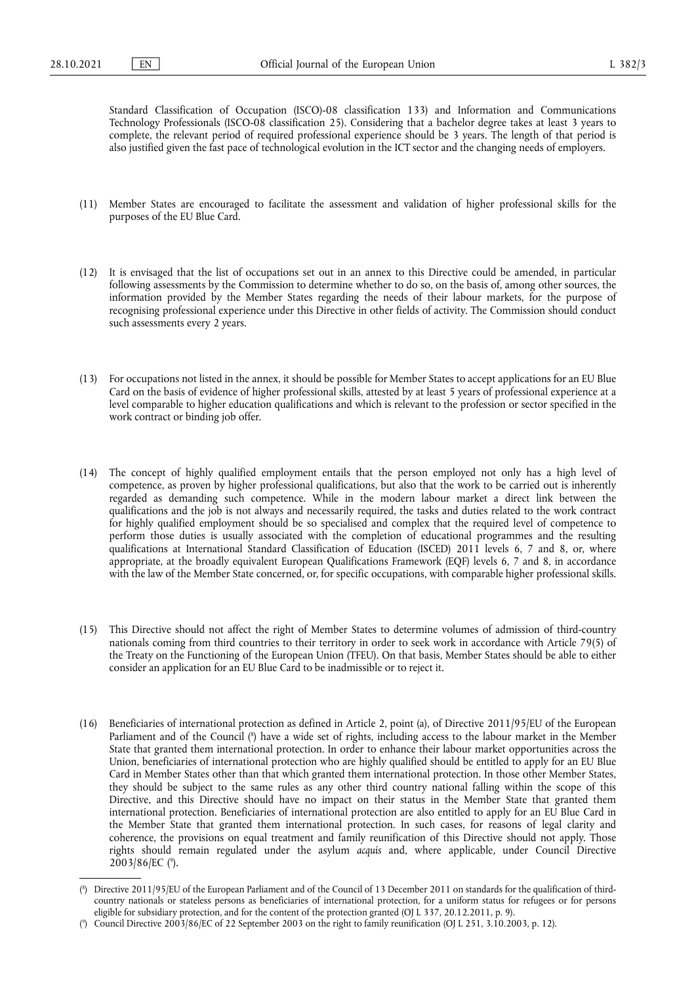Standard Classification of Occupation (ISCO)-08 classification 133) and Information and Communications Technology Professionals (ISCO-08 classification 25). Considering that a bachelor degree takes at least 3 years to complete, the relevant period of required professional experience should be 3 years. The length of that period is also justified given the fast pace of technological evolution in the ICT sector and the changing needs of employers.

- (11) Member States are encouraged to facilitate the assessment and validation of higher professional skills for the purposes of the EU Blue Card.
- (12) It is envisaged that the list of occupations set out in an annex to this Directive could be amended, in particular following assessments by the Commission to determine whether to do so, on the basis of, among other sources, the information provided by the Member States regarding the needs of their labour markets, for the purpose of recognising professional experience under this Directive in other fields of activity. The Commission should conduct such assessments every 2 years.
- (13) For occupations not listed in the annex, it should be possible for Member States to accept applications for an EU Blue Card on the basis of evidence of higher professional skills, attested by at least 5 years of professional experience at a level comparable to higher education qualifications and which is relevant to the profession or sector specified in the work contract or binding job offer.
- (14) The concept of highly qualified employment entails that the person employed not only has a high level of competence, as proven by higher professional qualifications, but also that the work to be carried out is inherently regarded as demanding such competence. While in the modern labour market a direct link between the qualifications and the job is not always and necessarily required, the tasks and duties related to the work contract for highly qualified employment should be so specialised and complex that the required level of competence to perform those duties is usually associated with the completion of educational programmes and the resulting qualifications at International Standard Classification of Education (ISCED) 2011 levels 6, 7 and 8, or, where appropriate, at the broadly equivalent European Qualifications Framework (EQF) levels 6, 7 and 8, in accordance with the law of the Member State concerned, or, for specific occupations, with comparable higher professional skills.
- (15) This Directive should not affect the right of Member States to determine volumes of admission of third-country nationals coming from third countries to their territory in order to seek work in accordance with Article 79(5) of the Treaty on the Functioning of the European Union (TFEU). On that basis, Member States should be able to either consider an application for an EU Blue Card to be inadmissible or to reject it.
- <span id="page-2-2"></span>(16) Beneficiaries of international protection as defined in Article 2, point (a), of Directive 2011/95/EU of the European Parliament and of the Council [\(](#page-2-0) 8 ) have a wide set of rights, including access to the labour market in the Member State that granted them international protection. In order to enhance their labour market opportunities across the Union, beneficiaries of international protection who are highly qualified should be entitled to apply for an EU Blue Card in Member States other than that which granted them international protection. In those other Member States, they should be subject to the same rules as any other third country national falling within the scope of this Directive, and this Directive should have no impact on their status in the Member State that granted them international protection. Beneficiaries of international protection are also entitled to apply for an EU Blue Card in the Member State that granted them international protection. In such cases, for reasons of legal clarity and coherence, the provisions on equal treatment and family reunification of this Directive should not apply. Those rights should remain regulated under the asylum *acquis* and, where applicable, under Council Directive 2003/86/EC (°[\).](#page-2-1)

<span id="page-2-3"></span><span id="page-2-0"></span>[<sup>\(</sup>](#page-2-2) 8 ) Directive 2011/95/EU of the European Parliament and of the Council of 13 December 2011 on standards for the qualification of thirdcountry nationals or stateless persons as beneficiaries of international protection, for a uniform status for refugees or for persons eligible for subsidiary protection, and for the content of the protection granted (OJ L 337, 20.12.2011, p. 9).

<span id="page-2-1"></span><sup>(</sup> 9 [\)](#page-2-3) Council Directive 2003/86/EC of 22 September 2003 on the right to family reunification (OJ L 251, 3.10.2003, p. 12).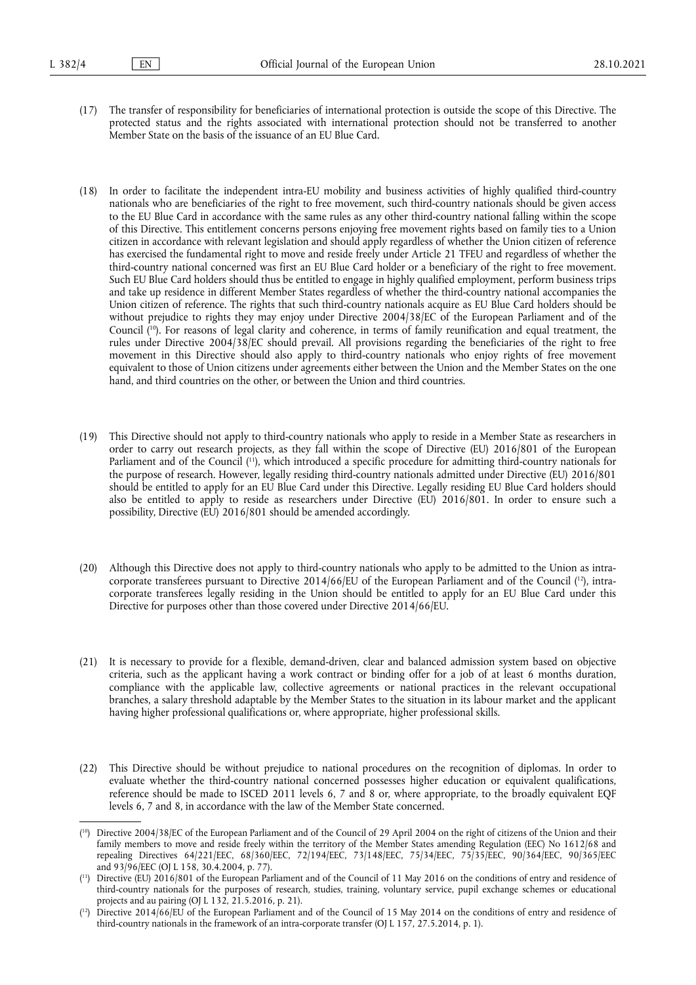- (17) The transfer of responsibility for beneficiaries of international protection is outside the scope of this Directive. The protected status and the rights associated with international protection should not be transferred to another Member State on the basis of the issuance of an EU Blue Card.
- (18) In order to facilitate the independent intra-EU mobility and business activities of highly qualified third-country nationals who are beneficiaries of the right to free movement, such third-country nationals should be given access to the EU Blue Card in accordance with the same rules as any other third-country national falling within the scope of this Directive. This entitlement concerns persons enjoying free movement rights based on family ties to a Union citizen in accordance with relevant legislation and should apply regardless of whether the Union citizen of reference has exercised the fundamental right to move and reside freely under Article 21 TFEU and regardless of whether the third-country national concerned was first an EU Blue Card holder or a beneficiary of the right to free movement. Such EU Blue Card holders should thus be entitled to engage in highly qualified employment, perform business trips and take up residence in different Member States regardless of whether the third-country national accompanies the Union citizen of reference. The rights that such third-country nationals acquire as EU Blue Card holders should be without prejudice to rights they may enjoy under Directive 2004/38/EC of the European Parliament and of the Council ( [10\).](#page-3-0) For reasons of legal clarity and coherence, in terms of family reunification and equal treatment, the rules under Directive 2004/38/EC should prevail. All provisions regarding the beneficiaries of the right to free movement in this Directive should also apply to third-country nationals who enjoy rights of free movement equivalent to those of Union citizens under agreements either between the Union and the Member States on the one hand, and third countries on the other, or between the Union and third countries.
- <span id="page-3-4"></span><span id="page-3-3"></span>(19) This Directive should not apply to third-country nationals who apply to reside in a Member State as researchers in order to carry out research projects, as they fall within the scope of Directive (EU) 2016/801 of the European Parliament and of the Council ( [11\),](#page-3-1) which introduced a specific procedure for admitting third-country nationals for the purpose of research. However, legally residing third-country nationals admitted under Directive (EU) 2016/801 should be entitled to apply for an EU Blue Card under this Directive. Legally residing EU Blue Card holders should also be entitled to apply to reside as researchers under Directive (EU) 2016/801. In order to ensure such a possibility, Directive (EU) 2016/801 should be amended accordingly.
- <span id="page-3-5"></span>(20) Although this Directive does not apply to third-country nationals who apply to be admitted to the Union as intracorporate transferees pursuant to Directive 2014/66/EU of the European Parliament and of the Council ( [12\),](#page-3-2) intracorporate transferees legally residing in the Union should be entitled to apply for an EU Blue Card under this Directive for purposes other than those covered under Directive 2014/66/EU.
- (21) It is necessary to provide for a flexible, demand-driven, clear and balanced admission system based on objective criteria, such as the applicant having a work contract or binding offer for a job of at least 6 months duration, compliance with the applicable law, collective agreements or national practices in the relevant occupational branches, a salary threshold adaptable by the Member States to the situation in its labour market and the applicant having higher professional qualifications or, where appropriate, higher professional skills.
- (22) This Directive should be without prejudice to national procedures on the recognition of diplomas. In order to evaluate whether the third-country national concerned possesses higher education or equivalent qualifications, reference should be made to ISCED 2011 levels 6, 7 and 8 or, where appropriate, to the broadly equivalent EQF levels 6, 7 and 8, in accordance with the law of the Member State concerned.

<span id="page-3-0"></span><sup>(</sup> [10\)](#page-3-3) Directive 2004/38/EC of the European Parliament and of the Council of 29 April 2004 on the right of citizens of the Union and their family members to move and reside freely within the territory of the Member States amending Regulation (EEC) No 1612/68 and repealing Directives 64/221/EEC, 68/360/EEC, 72/194/EEC, 73/148/EEC, 75/34/EEC, 75/35/EEC, 90/364/EEC, 90/365/EEC and 93/96/EEC (OJ L 158, 30.4.2004, p. 77).

<span id="page-3-1"></span><sup>(</sup> [11\)](#page-3-4) Directive (EU) 2016/801 of the European Parliament and of the Council of 11 May 2016 on the conditions of entry and residence of third-country nationals for the purposes of research, studies, training, voluntary service, pupil exchange schemes or educational projects and au pairing (OJ L 132, 21.5.2016, p. 21).

<span id="page-3-2"></span><sup>(</sup> Directive 2014/66/EU of the European Parliament and of the Council of 15 May 2014 on the conditions of entry and residence of third-country nationals in the framework of an intra-corporate transfer (OJ L 157, 27.5.2014, p. 1).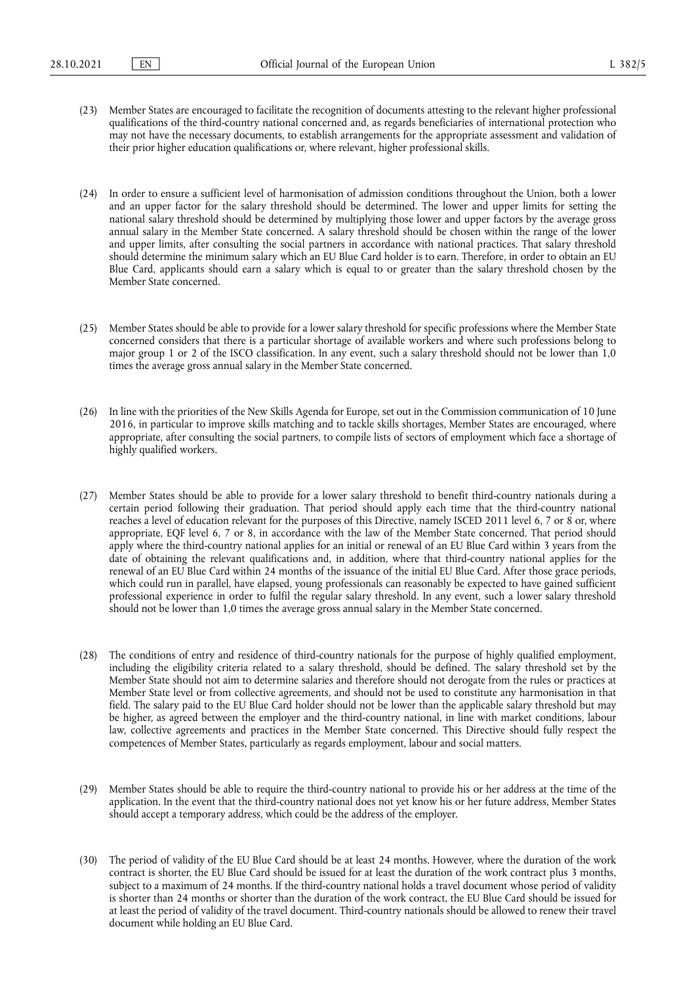- (23) Member States are encouraged to facilitate the recognition of documents attesting to the relevant higher professional qualifications of the third-country national concerned and, as regards beneficiaries of international protection who may not have the necessary documents, to establish arrangements for the appropriate assessment and validation of their prior higher education qualifications or, where relevant, higher professional skills.
- (24) In order to ensure a sufficient level of harmonisation of admission conditions throughout the Union, both a lower and an upper factor for the salary threshold should be determined. The lower and upper limits for setting the national salary threshold should be determined by multiplying those lower and upper factors by the average gross annual salary in the Member State concerned. A salary threshold should be chosen within the range of the lower and upper limits, after consulting the social partners in accordance with national practices. That salary threshold should determine the minimum salary which an EU Blue Card holder is to earn. Therefore, in order to obtain an EU Blue Card, applicants should earn a salary which is equal to or greater than the salary threshold chosen by the Member State concerned.
- (25) Member States should be able to provide for a lower salary threshold for specific professions where the Member State concerned considers that there is a particular shortage of available workers and where such professions belong to major group 1 or 2 of the ISCO classification. In any event, such a salary threshold should not be lower than 1,0 times the average gross annual salary in the Member State concerned.
- (26) In line with the priorities of the New Skills Agenda for Europe, set out in the Commission communication of 10 June 2016, in particular to improve skills matching and to tackle skills shortages, Member States are encouraged, where appropriate, after consulting the social partners, to compile lists of sectors of employment which face a shortage of highly qualified workers.
- (27) Member States should be able to provide for a lower salary threshold to benefit third-country nationals during a certain period following their graduation. That period should apply each time that the third-country national reaches a level of education relevant for the purposes of this Directive, namely ISCED 2011 level 6, 7 or 8 or, where appropriate, EQF level 6, 7 or 8, in accordance with the law of the Member State concerned. That period should apply where the third-country national applies for an initial or renewal of an EU Blue Card within 3 years from the date of obtaining the relevant qualifications and, in addition, where that third-country national applies for the renewal of an EU Blue Card within 24 months of the issuance of the initial EU Blue Card. After those grace periods, which could run in parallel, have elapsed, young professionals can reasonably be expected to have gained sufficient professional experience in order to fulfil the regular salary threshold. In any event, such a lower salary threshold should not be lower than 1,0 times the average gross annual salary in the Member State concerned.
- (28) The conditions of entry and residence of third-country nationals for the purpose of highly qualified employment, including the eligibility criteria related to a salary threshold, should be defined. The salary threshold set by the Member State should not aim to determine salaries and therefore should not derogate from the rules or practices at Member State level or from collective agreements, and should not be used to constitute any harmonisation in that field. The salary paid to the EU Blue Card holder should not be lower than the applicable salary threshold but may be higher, as agreed between the employer and the third-country national, in line with market conditions, labour law, collective agreements and practices in the Member State concerned. This Directive should fully respect the competences of Member States, particularly as regards employment, labour and social matters.
- (29) Member States should be able to require the third-country national to provide his or her address at the time of the application. In the event that the third-country national does not yet know his or her future address, Member States should accept a temporary address, which could be the address of the employer.
- (30) The period of validity of the EU Blue Card should be at least 24 months. However, where the duration of the work contract is shorter, the EU Blue Card should be issued for at least the duration of the work contract plus 3 months, subject to a maximum of 24 months. If the third-country national holds a travel document whose period of validity is shorter than 24 months or shorter than the duration of the work contract, the EU Blue Card should be issued for at least the period of validity of the travel document. Third-country nationals should be allowed to renew their travel document while holding an EU Blue Card.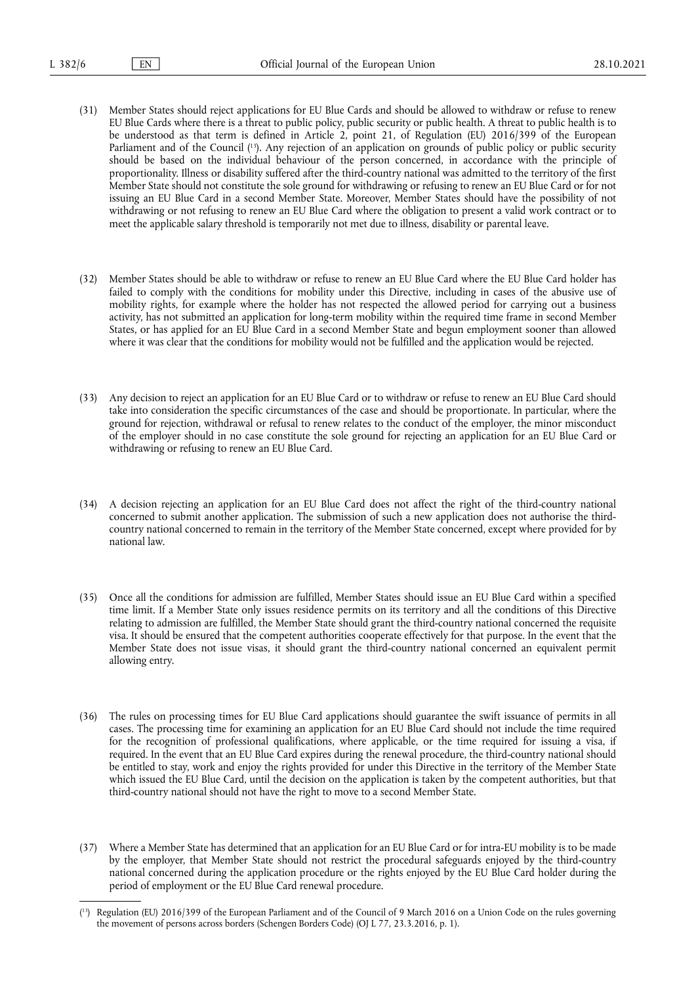- <span id="page-5-1"></span>(31) Member States should reject applications for EU Blue Cards and should be allowed to withdraw or refuse to renew EU Blue Cards where there is a threat to public policy, public security or public health. A threat to public health is to be understood as that term is defined in Article 2, point 21, of Regulation (EU) 2016/399 of the European Parliament and of the Council (<sup>13</sup>). Any rejection of an application on grounds of public policy or public security should be based on the individual behaviour of the person concerned, in accordance with the principle of proportionality. Illness or disability suffered after the third-country national was admitted to the territory of the first Member State should not constitute the sole ground for withdrawing or refusing to renew an EU Blue Card or for not issuing an EU Blue Card in a second Member State. Moreover, Member States should have the possibility of not withdrawing or not refusing to renew an EU Blue Card where the obligation to present a valid work contract or to meet the applicable salary threshold is temporarily not met due to illness, disability or parental leave.
- (32) Member States should be able to withdraw or refuse to renew an EU Blue Card where the EU Blue Card holder has failed to comply with the conditions for mobility under this Directive, including in cases of the abusive use of mobility rights, for example where the holder has not respected the allowed period for carrying out a business activity, has not submitted an application for long-term mobility within the required time frame in second Member States, or has applied for an EU Blue Card in a second Member State and begun employment sooner than allowed where it was clear that the conditions for mobility would not be fulfilled and the application would be rejected.
- (33) Any decision to reject an application for an EU Blue Card or to withdraw or refuse to renew an EU Blue Card should take into consideration the specific circumstances of the case and should be proportionate. In particular, where the ground for rejection, withdrawal or refusal to renew relates to the conduct of the employer, the minor misconduct of the employer should in no case constitute the sole ground for rejecting an application for an EU Blue Card or withdrawing or refusing to renew an EU Blue Card.
- (34) A decision rejecting an application for an EU Blue Card does not affect the right of the third-country national concerned to submit another application. The submission of such a new application does not authorise the thirdcountry national concerned to remain in the territory of the Member State concerned, except where provided for by national law.
- (35) Once all the conditions for admission are fulfilled, Member States should issue an EU Blue Card within a specified time limit. If a Member State only issues residence permits on its territory and all the conditions of this Directive relating to admission are fulfilled, the Member State should grant the third-country national concerned the requisite visa. It should be ensured that the competent authorities cooperate effectively for that purpose. In the event that the Member State does not issue visas, it should grant the third-country national concerned an equivalent permit allowing entry.
- (36) The rules on processing times for EU Blue Card applications should guarantee the swift issuance of permits in all cases. The processing time for examining an application for an EU Blue Card should not include the time required for the recognition of professional qualifications, where applicable, or the time required for issuing a visa, if required. In the event that an EU Blue Card expires during the renewal procedure, the third-country national should be entitled to stay, work and enjoy the rights provided for under this Directive in the territory of the Member State which issued the EU Blue Card, until the decision on the application is taken by the competent authorities, but that third-country national should not have the right to move to a second Member State.
- (37) Where a Member State has determined that an application for an EU Blue Card or for intra-EU mobility is to be made by the employer, that Member State should not restrict the procedural safeguards enjoyed by the third-country national concerned during the application procedure or the rights enjoyed by the EU Blue Card holder during the period of employment or the EU Blue Card renewal procedure.

<span id="page-5-0"></span><sup>(</sup> [13\)](#page-5-1) Regulation (EU) 2016/399 of the European Parliament and of the Council of 9 March 2016 on a Union Code on the rules governing the movement of persons across borders (Schengen Borders Code) (OJ L 77, 23.3.2016, p. 1).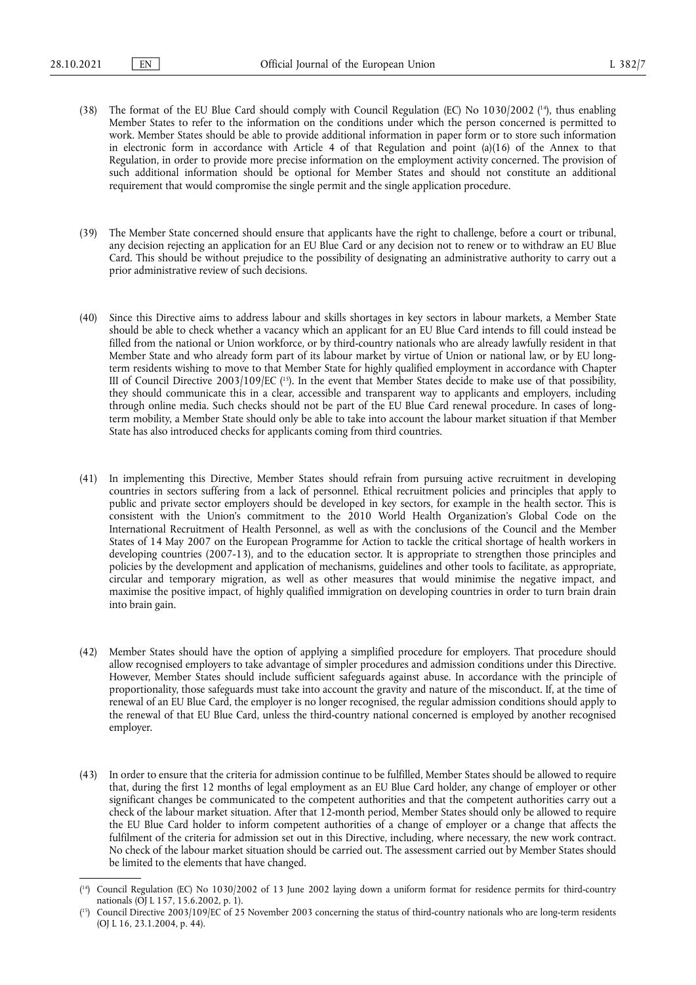- <span id="page-6-2"></span>(38) The format of the EU Blue Card should comply with Council Regulation (EC) No  $1030/2002$  (<sup>14</sup>), thus enabling Member States to refer to the information on the conditions under which the person concerned is permitted to work. Member States should be able to provide additional information in paper form or to store such information in electronic form in accordance with Article 4 of that Regulation and point (a)(16) of the Annex to that Regulation, in order to provide more precise information on the employment activity concerned. The provision of such additional information should be optional for Member States and should not constitute an additional requirement that would compromise the single permit and the single application procedure.
- (39) The Member State concerned should ensure that applicants have the right to challenge, before a court or tribunal, any decision rejecting an application for an EU Blue Card or any decision not to renew or to withdraw an EU Blue Card. This should be without prejudice to the possibility of designating an administrative authority to carry out a prior administrative review of such decisions.
- <span id="page-6-3"></span>(40) Since this Directive aims to address labour and skills shortages in key sectors in labour markets, a Member State should be able to check whether a vacancy which an applicant for an EU Blue Card intends to fill could instead be filled from the national or Union workforce, or by third-country nationals who are already lawfully resident in that Member State and who already form part of its labour market by virtue of Union or national law, or by EU longterm residents wishing to move to that Member State for highly qualified employment in accordance with Chapter III of Council Directive 2003/109/EC ( [15\).](#page-6-1) In the event that Member States decide to make use of that possibility, they should communicate this in a clear, accessible and transparent way to applicants and employers, including through online media. Such checks should not be part of the EU Blue Card renewal procedure. In cases of longterm mobility, a Member State should only be able to take into account the labour market situation if that Member State has also introduced checks for applicants coming from third countries.
- (41) In implementing this Directive, Member States should refrain from pursuing active recruitment in developing countries in sectors suffering from a lack of personnel. Ethical recruitment policies and principles that apply to public and private sector employers should be developed in key sectors, for example in the health sector. This is consistent with the Union's commitment to the 2010 World Health Organization's Global Code on the International Recruitment of Health Personnel, as well as with the conclusions of the Council and the Member States of 14 May 2007 on the European Programme for Action to tackle the critical shortage of health workers in developing countries (2007-13), and to the education sector. It is appropriate to strengthen those principles and policies by the development and application of mechanisms, guidelines and other tools to facilitate, as appropriate, circular and temporary migration, as well as other measures that would minimise the negative impact, and maximise the positive impact, of highly qualified immigration on developing countries in order to turn brain drain into brain gain.
- (42) Member States should have the option of applying a simplified procedure for employers. That procedure should allow recognised employers to take advantage of simpler procedures and admission conditions under this Directive. However, Member States should include sufficient safeguards against abuse. In accordance with the principle of proportionality, those safeguards must take into account the gravity and nature of the misconduct. If, at the time of renewal of an EU Blue Card, the employer is no longer recognised, the regular admission conditions should apply to the renewal of that EU Blue Card, unless the third-country national concerned is employed by another recognised employer.
- (43) In order to ensure that the criteria for admission continue to be fulfilled, Member States should be allowed to require that, during the first 12 months of legal employment as an EU Blue Card holder, any change of employer or other significant changes be communicated to the competent authorities and that the competent authorities carry out a check of the labour market situation. After that 12-month period, Member States should only be allowed to require the EU Blue Card holder to inform competent authorities of a change of employer or a change that affects the fulfilment of the criteria for admission set out in this Directive, including, where necessary, the new work contract. No check of the labour market situation should be carried out. The assessment carried out by Member States should be limited to the elements that have changed.

<span id="page-6-0"></span><sup>(</sup> [14\)](#page-6-2) Council Regulation (EC) No 1030/2002 of 13 June 2002 laying down a uniform format for residence permits for third-country nationals (OJ L 157, 15.6.2002, p. 1).

<span id="page-6-1"></span><sup>(</sup> [15\)](#page-6-3) Council Directive 2003/109/EC of 25 November 2003 concerning the status of third-country nationals who are long-term residents (OJ L 16, 23.1.2004, p. 44).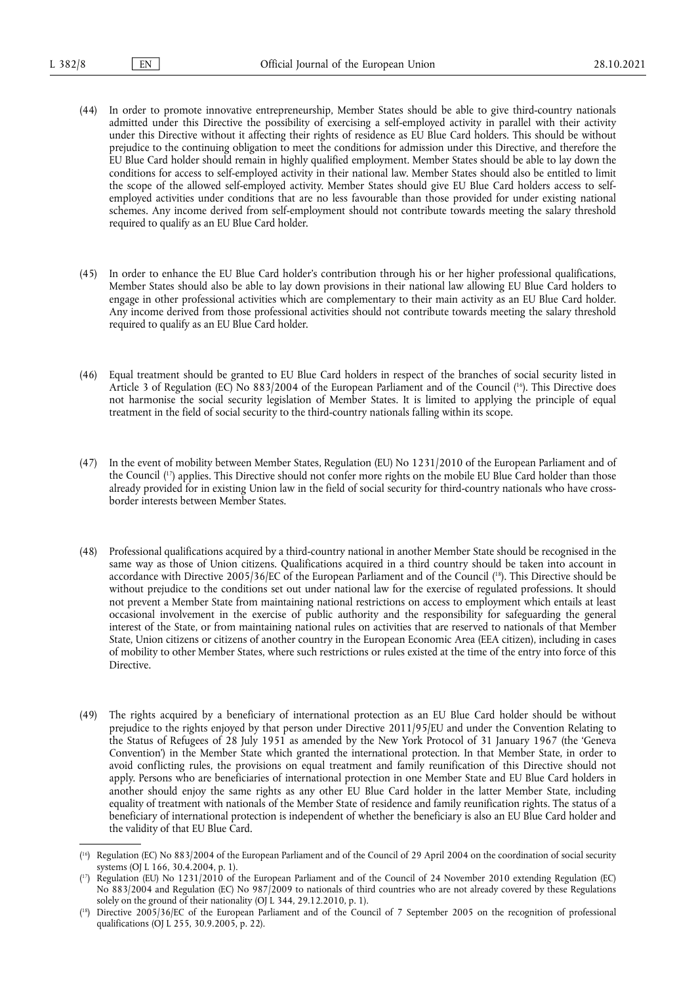- (44) In order to promote innovative entrepreneurship, Member States should be able to give third-country nationals admitted under this Directive the possibility of exercising a self-employed activity in parallel with their activity under this Directive without it affecting their rights of residence as EU Blue Card holders. This should be without prejudice to the continuing obligation to meet the conditions for admission under this Directive, and therefore the EU Blue Card holder should remain in highly qualified employment. Member States should be able to lay down the conditions for access to self-employed activity in their national law. Member States should also be entitled to limit the scope of the allowed self-employed activity. Member States should give EU Blue Card holders access to selfemployed activities under conditions that are no less favourable than those provided for under existing national schemes. Any income derived from self-employment should not contribute towards meeting the salary threshold required to qualify as an EU Blue Card holder.
- (45) In order to enhance the EU Blue Card holder's contribution through his or her higher professional qualifications, Member States should also be able to lay down provisions in their national law allowing EU Blue Card holders to engage in other professional activities which are complementary to their main activity as an EU Blue Card holder. Any income derived from those professional activities should not contribute towards meeting the salary threshold required to qualify as an EU Blue Card holder.
- <span id="page-7-3"></span>(46) Equal treatment should be granted to EU Blue Card holders in respect of the branches of social security listed in Article 3 of Regulation (EC) No 883/2004 of the European Parliament and of the Council ( [16\).](#page-7-0) This Directive does not harmonise the social security legislation of Member States. It is limited to applying the principle of equal treatment in the field of social security to the third-country nationals falling within its scope.
- <span id="page-7-4"></span>(47) In the event of mobility between Member States, Regulation (EU) No 1231/2010 of the European Parliament and of the Council ( [17\)](#page-7-1) applies. This Directive should not confer more rights on the mobile EU Blue Card holder than those already provided for in existing Union law in the field of social security for third-country nationals who have crossborder interests between Member States.
- <span id="page-7-5"></span>(48) Professional qualifications acquired by a third-country national in another Member State should be recognised in the same way as those of Union citizens. Qualifications acquired in a third country should be taken into account in accordance with Directive 2005/36/EC of the European Parliament and of the Council ( [18\)](#page-7-2). This Directive should be without prejudice to the conditions set out under national law for the exercise of regulated professions. It should not prevent a Member State from maintaining national restrictions on access to employment which entails at least occasional involvement in the exercise of public authority and the responsibility for safeguarding the general interest of the State, or from maintaining national rules on activities that are reserved to nationals of that Member State, Union citizens or citizens of another country in the European Economic Area (EEA citizen), including in cases of mobility to other Member States, where such restrictions or rules existed at the time of the entry into force of this Directive.
- (49) The rights acquired by a beneficiary of international protection as an EU Blue Card holder should be without prejudice to the rights enjoyed by that person under Directive 2011/95/EU and under the Convention Relating to the Status of Refugees of 28 July 1951 as amended by the New York Protocol of 31 January 1967 (the 'Geneva Convention') in the Member State which granted the international protection. In that Member State, in order to avoid conflicting rules, the provisions on equal treatment and family reunification of this Directive should not apply. Persons who are beneficiaries of international protection in one Member State and EU Blue Card holders in another should enjoy the same rights as any other EU Blue Card holder in the latter Member State, including equality of treatment with nationals of the Member State of residence and family reunification rights. The status of a beneficiary of international protection is independent of whether the beneficiary is also an EU Blue Card holder and the validity of that EU Blue Card.

<span id="page-7-0"></span><sup>(</sup> [16\)](#page-7-3) Regulation (EC) No 883/2004 of the European Parliament and of the Council of 29 April 2004 on the coordination of social security systems (OJ L 166, 30.4, 2004, p. 1).

<span id="page-7-1"></span><sup>(</sup> [17\)](#page-7-4) Regulation (EU) No 1231/2010 of the European Parliament and of the Council of 24 November 2010 extending Regulation (EC) No 883/2004 and Regulation (EC) No 987/2009 to nationals of third countries who are not already covered by these Regulations solely on the ground of their nationality (OJ L 344, 29.12.2010, p. 1).

<span id="page-7-2"></span><sup>(</sup> [18\)](#page-7-5) Directive 2005/36/EC of the European Parliament and of the Council of 7 September 2005 on the recognition of professional qualifications (OJ L 255, 30.9.2005, p. 22).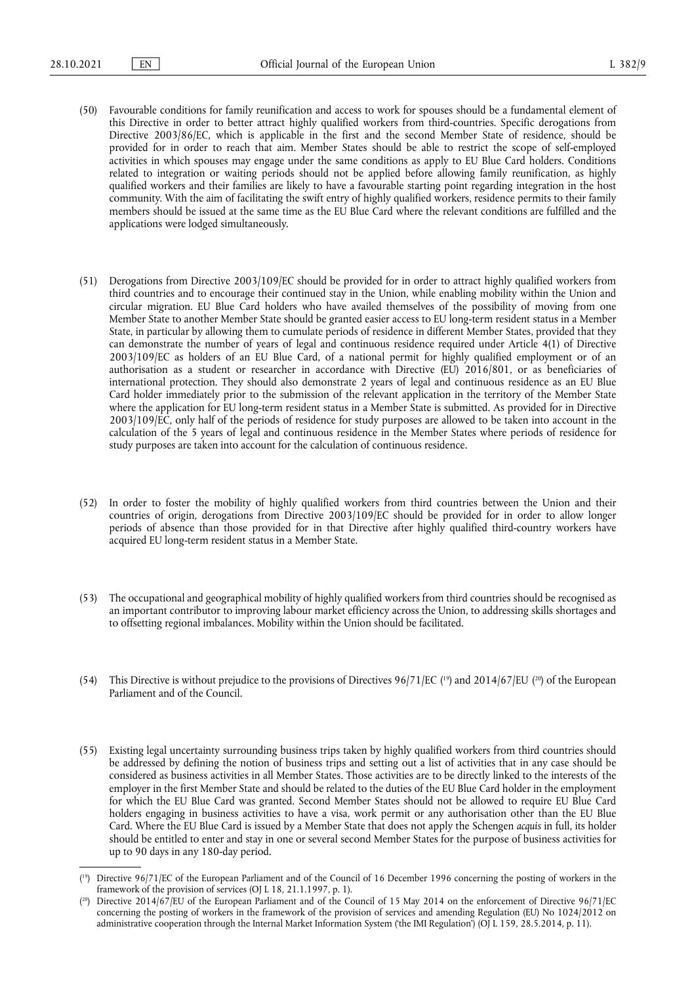- (50) Favourable conditions for family reunification and access to work for spouses should be a fundamental element of this Directive in order to better attract highly qualified workers from third-countries. Specific derogations from Directive 2003/86/EC, which is applicable in the first and the second Member State of residence, should be provided for in order to reach that aim. Member States should be able to restrict the scope of self-employed activities in which spouses may engage under the same conditions as apply to EU Blue Card holders. Conditions related to integration or waiting periods should not be applied before allowing family reunification, as highly qualified workers and their families are likely to have a favourable starting point regarding integration in the host community. With the aim of facilitating the swift entry of highly qualified workers, residence permits to their family members should be issued at the same time as the EU Blue Card where the relevant conditions are fulfilled and the applications were lodged simultaneously.
- (51) Derogations from Directive 2003/109/EC should be provided for in order to attract highly qualified workers from third countries and to encourage their continued stay in the Union, while enabling mobility within the Union and circular migration. EU Blue Card holders who have availed themselves of the possibility of moving from one Member State to another Member State should be granted easier access to EU long-term resident status in a Member State, in particular by allowing them to cumulate periods of residence in different Member States, provided that they can demonstrate the number of years of legal and continuous residence required under Article 4(1) of Directive 2003/109/EC as holders of an EU Blue Card, of a national permit for highly qualified employment or of an authorisation as a student or researcher in accordance with Directive (EU) 2016/801, or as beneficiaries of international protection. They should also demonstrate 2 years of legal and continuous residence as an EU Blue Card holder immediately prior to the submission of the relevant application in the territory of the Member State where the application for EU long-term resident status in a Member State is submitted. As provided for in Directive 2003/109/EC, only half of the periods of residence for study purposes are allowed to be taken into account in the calculation of the 5 years of legal and continuous residence in the Member States where periods of residence for study purposes are taken into account for the calculation of continuous residence.
- (52) In order to foster the mobility of highly qualified workers from third countries between the Union and their countries of origin, derogations from Directive 2003/109/EC should be provided for in order to allow longer periods of absence than those provided for in that Directive after highly qualified third-country workers have acquired EU long-term resident status in a Member State.
- (53) The occupational and geographical mobility of highly qualified workers from third countries should be recognised as an important contributor to improving labour market efficiency across the Union, to addressing skills shortages and to offsetting regional imbalances. Mobility within the Union should be facilitated.
- <span id="page-8-2"></span>(54) This Directive is without prejudice to the provisions of Directives  $96/71/EC$  ( $^{19}$ ) and  $2014/67/EU$  ( $^{20}$ ) of the European Parliament and of the Council.
- (55) Existing legal uncertainty surrounding business trips taken by highly qualified workers from third countries should be addressed by defining the notion of business trips and setting out a list of activities that in any case should be considered as business activities in all Member States. Those activities are to be directly linked to the interests of the employer in the first Member State and should be related to the duties of the EU Blue Card holder in the employment for which the EU Blue Card was granted. Second Member States should not be allowed to require EU Blue Card holders engaging in business activities to have a visa, work permit or any authorisation other than the EU Blue Card. Where the EU Blue Card is issued by a Member State that does not apply the Schengen *acquis* in full, its holder should be entitled to enter and stay in one or several second Member States for the purpose of business activities for up to 90 days in any 180-day period.

<span id="page-8-0"></span><sup>(</sup> [19\)](#page-8-2) Directive 96/71/EC of the European Parliament and of the Council of 16 December 1996 concerning the posting of workers in the framework of the provision of services (OJ L 18, 21.1.1997, p. 1).

<span id="page-8-1"></span><sup>(</sup> [20\)](#page-8-2) Directive 2014/67/EU of the European Parliament and of the Council of 15 May 2014 on the enforcement of Directive 96/71/EC concerning the posting of workers in the framework of the provision of services and amending Regulation (EU) No 1024/2012 on administrative cooperation through the Internal Market Information System ('the IMI Regulation') (OJ L 159, 28.5.2014, p. 11).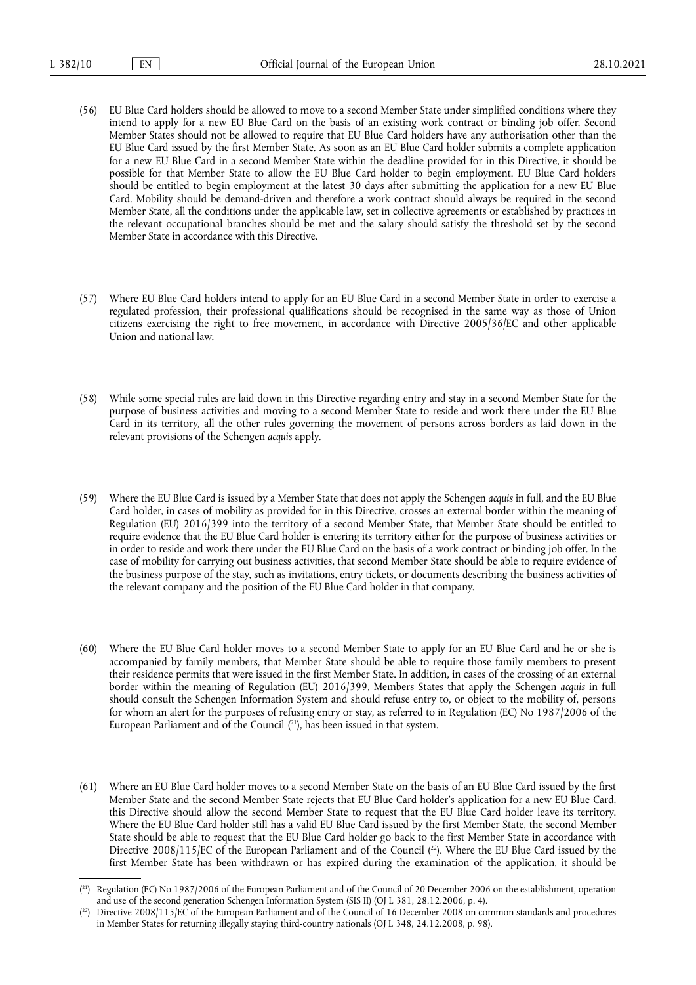- (56) EU Blue Card holders should be allowed to move to a second Member State under simplified conditions where they intend to apply for a new EU Blue Card on the basis of an existing work contract or binding job offer. Second Member States should not be allowed to require that EU Blue Card holders have any authorisation other than the EU Blue Card issued by the first Member State. As soon as an EU Blue Card holder submits a complete application for a new EU Blue Card in a second Member State within the deadline provided for in this Directive, it should be possible for that Member State to allow the EU Blue Card holder to begin employment. EU Blue Card holders should be entitled to begin employment at the latest 30 days after submitting the application for a new EU Blue Card. Mobility should be demand-driven and therefore a work contract should always be required in the second Member State, all the conditions under the applicable law, set in collective agreements or established by practices in the relevant occupational branches should be met and the salary should satisfy the threshold set by the second Member State in accordance with this Directive.
- (57) Where EU Blue Card holders intend to apply for an EU Blue Card in a second Member State in order to exercise a regulated profession, their professional qualifications should be recognised in the same way as those of Union citizens exercising the right to free movement, in accordance with Directive 2005/36/EC and other applicable Union and national law.
- (58) While some special rules are laid down in this Directive regarding entry and stay in a second Member State for the purpose of business activities and moving to a second Member State to reside and work there under the EU Blue Card in its territory, all the other rules governing the movement of persons across borders as laid down in the relevant provisions of the Schengen *acquis* apply.
- (59) Where the EU Blue Card is issued by a Member State that does not apply the Schengen *acquis* in full, and the EU Blue Card holder, in cases of mobility as provided for in this Directive, crosses an external border within the meaning of Regulation (EU) 2016/399 into the territory of a second Member State, that Member State should be entitled to require evidence that the EU Blue Card holder is entering its territory either for the purpose of business activities or in order to reside and work there under the EU Blue Card on the basis of a work contract or binding job offer. In the case of mobility for carrying out business activities, that second Member State should be able to require evidence of the business purpose of the stay, such as invitations, entry tickets, or documents describing the business activities of the relevant company and the position of the EU Blue Card holder in that company.
- (60) Where the EU Blue Card holder moves to a second Member State to apply for an EU Blue Card and he or she is accompanied by family members, that Member State should be able to require those family members to present their residence permits that were issued in the first Member State. In addition, in cases of the crossing of an external border within the meaning of Regulation (EU) 2016/399, Members States that apply the Schengen *acquis* in full should consult the Schengen Information System and should refuse entry to, or object to the mobility of, persons for whom an alert for the purposes of refusing entry or stay, as referred to in Regulation (EC) No 1987/2006 of the European Parliament and of the Council ( [21\),](#page-9-0) has been issued in that system.
- <span id="page-9-2"></span>(61) Where an EU Blue Card holder moves to a second Member State on the basis of an EU Blue Card issued by the first Member State and the second Member State rejects that EU Blue Card holder's application for a new EU Blue Card, this Directive should allow the second Member State to request that the EU Blue Card holder leave its territory. Where the EU Blue Card holder still has a valid EU Blue Card issued by the first Member State, the second Member State should be able to request that the EU Blue Card holder go back to the first Member State in accordance with Directive 2008/115/EC of the European Parliament and of the Council ( [22\)](#page-9-1). Where the EU Blue Card issued by the first Member State has been withdrawn or has expired during the examination of the application, it should be

<span id="page-9-3"></span><span id="page-9-0"></span><sup>(</sup> [21\)](#page-9-2) Regulation (EC) No 1987/2006 of the European Parliament and of the Council of 20 December 2006 on the establishment, operation and use of the second generation Schengen Information System (SIS II) (OJ L 381, 28.12.2006, p. 4).

<span id="page-9-1"></span><sup>(</sup> [22\)](#page-9-3) Directive 2008/115/EC of the European Parliament and of the Council of 16 December 2008 on common standards and procedures in Member States for returning illegally staying third-country nationals (OJ L 348, 24.12.2008, p. 98).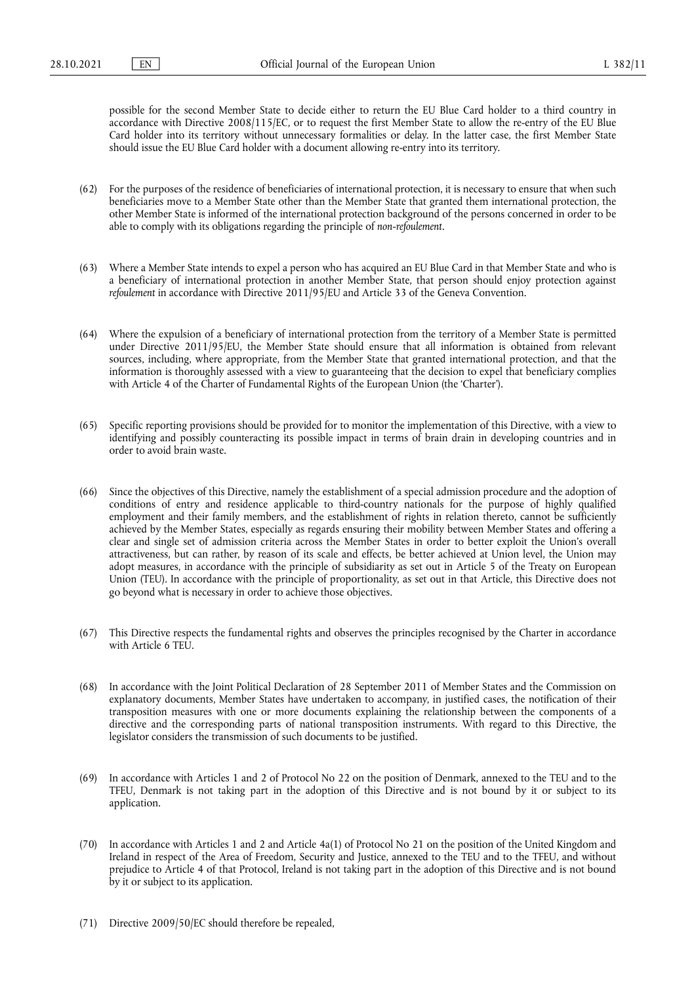possible for the second Member State to decide either to return the EU Blue Card holder to a third country in accordance with Directive 2008/115/EC, or to request the first Member State to allow the re-entry of the EU Blue Card holder into its territory without unnecessary formalities or delay. In the latter case, the first Member State should issue the EU Blue Card holder with a document allowing re-entry into its territory.

- (62) For the purposes of the residence of beneficiaries of international protection, it is necessary to ensure that when such beneficiaries move to a Member State other than the Member State that granted them international protection, the other Member State is informed of the international protection background of the persons concerned in order to be able to comply with its obligations regarding the principle of *non-refoulement*.
- (63) Where a Member State intends to expel a person who has acquired an EU Blue Card in that Member State and who is a beneficiary of international protection in another Member State, that person should enjoy protection against *refoulement* in accordance with Directive 2011/95/EU and Article 33 of the Geneva Convention.
- (64) Where the expulsion of a beneficiary of international protection from the territory of a Member State is permitted under Directive 2011/95/EU, the Member State should ensure that all information is obtained from relevant sources, including, where appropriate, from the Member State that granted international protection, and that the information is thoroughly assessed with a view to guaranteeing that the decision to expel that beneficiary complies with Article 4 of the Charter of Fundamental Rights of the European Union (the 'Charter').
- (65) Specific reporting provisions should be provided for to monitor the implementation of this Directive, with a view to identifying and possibly counteracting its possible impact in terms of brain drain in developing countries and in order to avoid brain waste.
- (66) Since the objectives of this Directive, namely the establishment of a special admission procedure and the adoption of conditions of entry and residence applicable to third-country nationals for the purpose of highly qualified employment and their family members, and the establishment of rights in relation thereto, cannot be sufficiently achieved by the Member States, especially as regards ensuring their mobility between Member States and offering a clear and single set of admission criteria across the Member States in order to better exploit the Union's overall attractiveness, but can rather, by reason of its scale and effects, be better achieved at Union level, the Union may adopt measures, in accordance with the principle of subsidiarity as set out in Article 5 of the Treaty on European Union (TEU). In accordance with the principle of proportionality, as set out in that Article, this Directive does not go beyond what is necessary in order to achieve those objectives.
- (67) This Directive respects the fundamental rights and observes the principles recognised by the Charter in accordance with Article 6 TEU.
- (68) In accordance with the Joint Political Declaration of 28 September 2011 of Member States and the Commission on explanatory documents, Member States have undertaken to accompany, in justified cases, the notification of their transposition measures with one or more documents explaining the relationship between the components of a directive and the corresponding parts of national transposition instruments. With regard to this Directive, the legislator considers the transmission of such documents to be justified.
- (69) In accordance with Articles 1 and 2 of Protocol No 22 on the position of Denmark, annexed to the TEU and to the TFEU, Denmark is not taking part in the adoption of this Directive and is not bound by it or subject to its application.
- (70) In accordance with Articles 1 and 2 and Article 4a(1) of Protocol No 21 on the position of the United Kingdom and Ireland in respect of the Area of Freedom, Security and Justice, annexed to the TEU and to the TFEU, and without prejudice to Article 4 of that Protocol, Ireland is not taking part in the adoption of this Directive and is not bound by it or subject to its application.
- (71) Directive 2009/50/EC should therefore be repealed,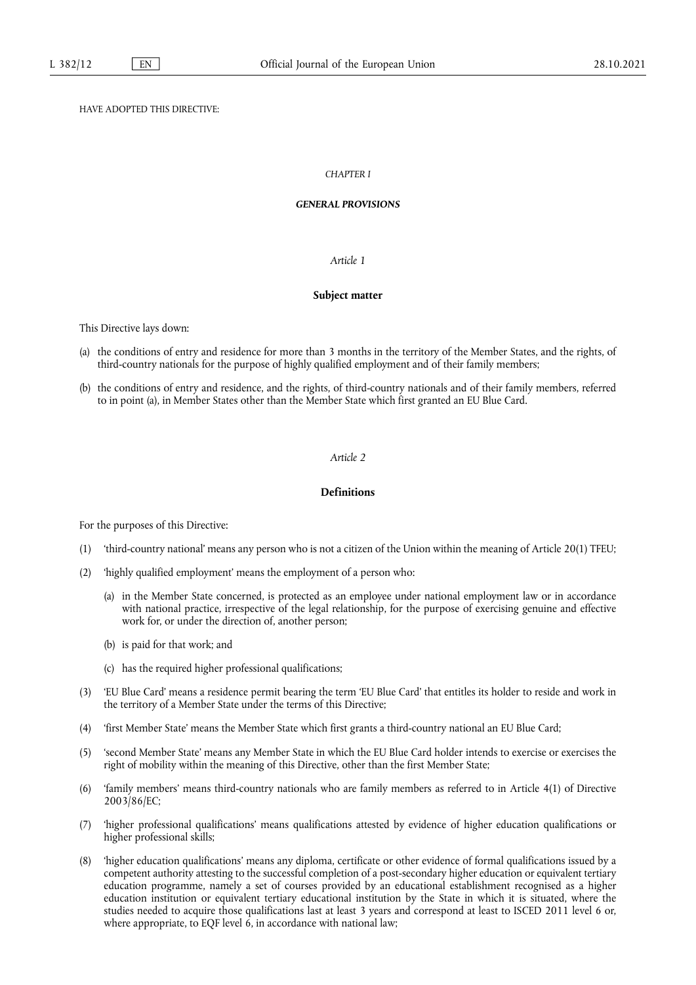# HAVE ADOPTED THIS DIRECTIVE:

# *CHAPTER I*

#### *GENERAL PROVISIONS*

#### *Article 1*

#### **Subject matter**

This Directive lays down:

- (a) the conditions of entry and residence for more than 3 months in the territory of the Member States, and the rights, of third-country nationals for the purpose of highly qualified employment and of their family members;
- (b) the conditions of entry and residence, and the rights, of third-country nationals and of their family members, referred to in point (a), in Member States other than the Member State which first granted an EU Blue Card.

# *Article 2*

#### **Definitions**

For the purposes of this Directive:

- (1) 'third-country national' means any person who is not a citizen of the Union within the meaning of Article 20(1) TFEU;
- (2) 'highly qualified employment' means the employment of a person who:
	- (a) in the Member State concerned, is protected as an employee under national employment law or in accordance with national practice, irrespective of the legal relationship, for the purpose of exercising genuine and effective work for, or under the direction of, another person;
	- (b) is paid for that work; and
	- (c) has the required higher professional qualifications;
- (3) 'EU Blue Card' means a residence permit bearing the term 'EU Blue Card' that entitles its holder to reside and work in the territory of a Member State under the terms of this Directive;
- (4) 'first Member State' means the Member State which first grants a third-country national an EU Blue Card;
- (5) 'second Member State' means any Member State in which the EU Blue Card holder intends to exercise or exercises the right of mobility within the meaning of this Directive, other than the first Member State;
- (6) 'family members' means third-country nationals who are family members as referred to in Article 4(1) of Directive 2003/86/EC;
- (7) 'higher professional qualifications' means qualifications attested by evidence of higher education qualifications or higher professional skills;
- (8) 'higher education qualifications' means any diploma, certificate or other evidence of formal qualifications issued by a competent authority attesting to the successful completion of a post-secondary higher education or equivalent tertiary education programme, namely a set of courses provided by an educational establishment recognised as a higher education institution or equivalent tertiary educational institution by the State in which it is situated, where the studies needed to acquire those qualifications last at least 3 years and correspond at least to ISCED 2011 level 6 or, where appropriate, to EQF level 6, in accordance with national law;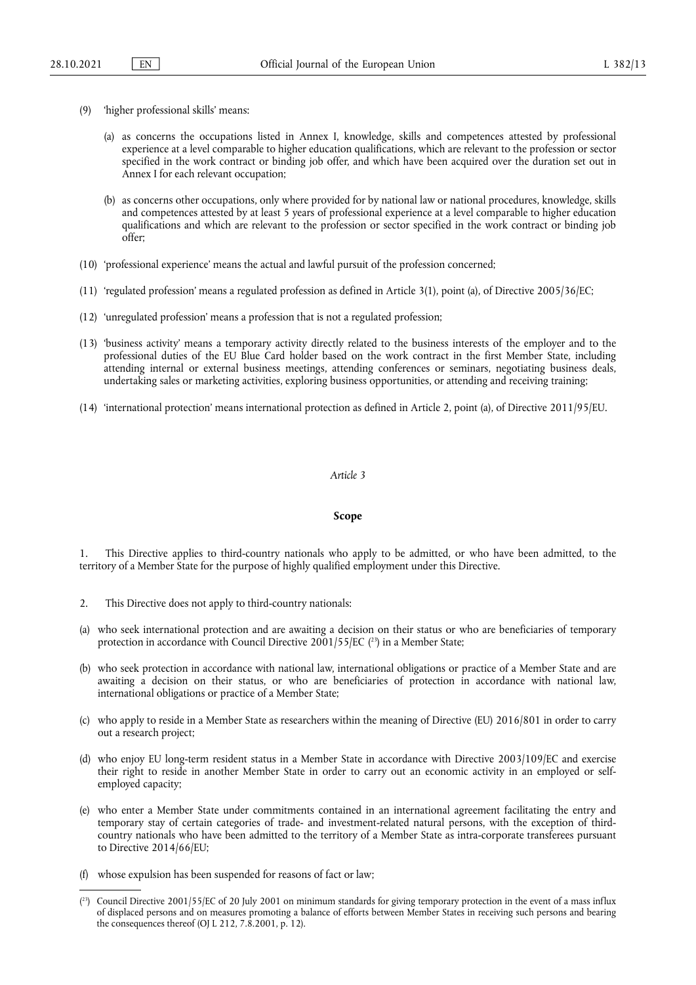- (9) 'higher professional skills' means:
	- (a) as concerns the occupations listed in Annex I, knowledge, skills and competences attested by professional experience at a level comparable to higher education qualifications, which are relevant to the profession or sector specified in the work contract or binding job offer, and which have been acquired over the duration set out in Annex I for each relevant occupation;
	- (b) as concerns other occupations, only where provided for by national law or national procedures, knowledge, skills and competences attested by at least 5 years of professional experience at a level comparable to higher education qualifications and which are relevant to the profession or sector specified in the work contract or binding job offer;
- (10) 'professional experience' means the actual and lawful pursuit of the profession concerned;
- (11) 'regulated profession' means a regulated profession as defined in Article 3(1), point (a), of Directive 2005/36/EC;
- (12) 'unregulated profession' means a profession that is not a regulated profession;
- (13) 'business activity' means a temporary activity directly related to the business interests of the employer and to the professional duties of the EU Blue Card holder based on the work contract in the first Member State, including attending internal or external business meetings, attending conferences or seminars, negotiating business deals, undertaking sales or marketing activities, exploring business opportunities, or attending and receiving training;
- (14) 'international protection' means international protection as defined in Article 2, point (a), of Directive 2011/95/EU.

#### **Scope**

1. This Directive applies to third-country nationals who apply to be admitted, or who have been admitted, to the territory of a Member State for the purpose of highly qualified employment under this Directive.

- 2. This Directive does not apply to third-country nationals:
- <span id="page-12-1"></span>(a) who seek international protection and are awaiting a decision on their status or who are beneficiaries of temporary protection in accordance with Council Directive 2001/55/EC ([23\)](#page-12-0) in a Member State;
- (b) who seek protection in accordance with national law, international obligations or practice of a Member State and are awaiting a decision on their status, or who are beneficiaries of protection in accordance with national law, international obligations or practice of a Member State;
- (c) who apply to reside in a Member State as researchers within the meaning of Directive (EU) 2016/801 in order to carry out a research project;
- (d) who enjoy EU long-term resident status in a Member State in accordance with Directive 2003/109/EC and exercise their right to reside in another Member State in order to carry out an economic activity in an employed or selfemployed capacity;
- (e) who enter a Member State under commitments contained in an international agreement facilitating the entry and temporary stay of certain categories of trade- and investment-related natural persons, with the exception of thirdcountry nationals who have been admitted to the territory of a Member State as intra-corporate transferees pursuant to Directive 2014/66/EU;
- (f) whose expulsion has been suspended for reasons of fact or law;

<span id="page-12-0"></span><sup>(</sup> [23\)](#page-12-1) Council Directive 2001/55/EC of 20 July 2001 on minimum standards for giving temporary protection in the event of a mass influx of displaced persons and on measures promoting a balance of efforts between Member States in receiving such persons and bearing the consequences thereof (OJ L 212, 7.8.2001, p. 12).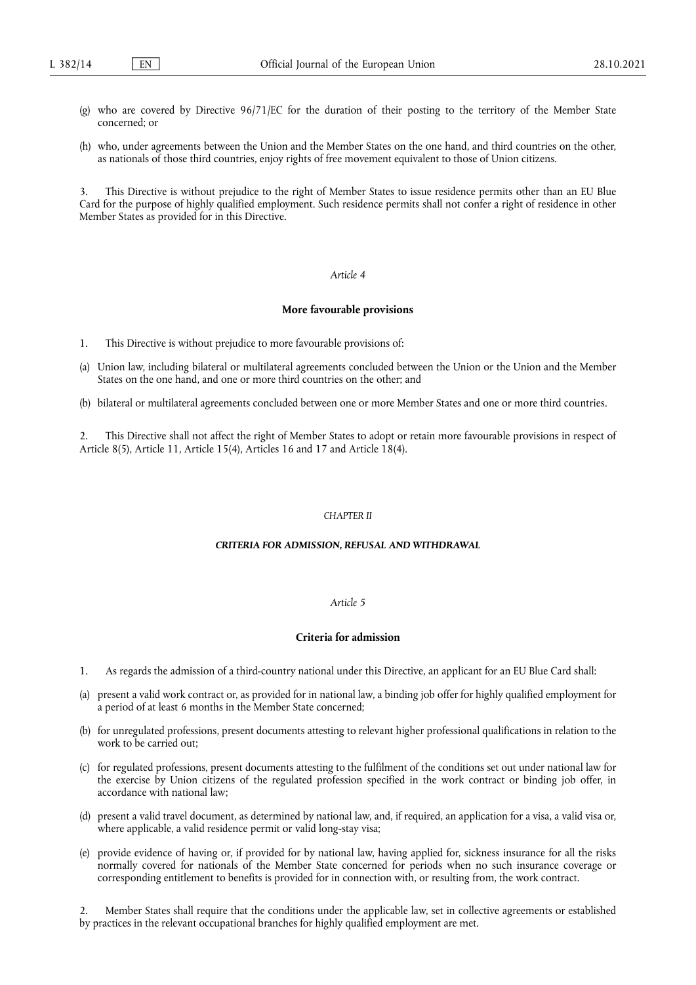- (g) who are covered by Directive 96/71/EC for the duration of their posting to the territory of the Member State concerned; or
- (h) who, under agreements between the Union and the Member States on the one hand, and third countries on the other, as nationals of those third countries, enjoy rights of free movement equivalent to those of Union citizens.

3. This Directive is without prejudice to the right of Member States to issue residence permits other than an EU Blue Card for the purpose of highly qualified employment. Such residence permits shall not confer a right of residence in other Member States as provided for in this Directive.

#### *Article 4*

#### **More favourable provisions**

- 1. This Directive is without prejudice to more favourable provisions of:
- (a) Union law, including bilateral or multilateral agreements concluded between the Union or the Union and the Member States on the one hand, and one or more third countries on the other; and
- (b) bilateral or multilateral agreements concluded between one or more Member States and one or more third countries.

2. This Directive shall not affect the right of Member States to adopt or retain more favourable provisions in respect of Article 8(5), Article 11, Article 15(4), Articles 16 and 17 and Article 18(4).

#### *CHAPTER II*

#### *CRITERIA FOR ADMISSION, REFUSAL AND WITHDRAWAL*

#### *Article 5*

### **Criteria for admission**

- 1. As regards the admission of a third-country national under this Directive, an applicant for an EU Blue Card shall:
- (a) present a valid work contract or, as provided for in national law, a binding job offer for highly qualified employment for a period of at least 6 months in the Member State concerned;
- (b) for unregulated professions, present documents attesting to relevant higher professional qualifications in relation to the work to be carried out;
- (c) for regulated professions, present documents attesting to the fulfilment of the conditions set out under national law for the exercise by Union citizens of the regulated profession specified in the work contract or binding job offer, in accordance with national law;
- (d) present a valid travel document, as determined by national law, and, if required, an application for a visa, a valid visa or, where applicable, a valid residence permit or valid long-stay visa;
- (e) provide evidence of having or, if provided for by national law, having applied for, sickness insurance for all the risks normally covered for nationals of the Member State concerned for periods when no such insurance coverage or corresponding entitlement to benefits is provided for in connection with, or resulting from, the work contract.

2. Member States shall require that the conditions under the applicable law, set in collective agreements or established by practices in the relevant occupational branches for highly qualified employment are met.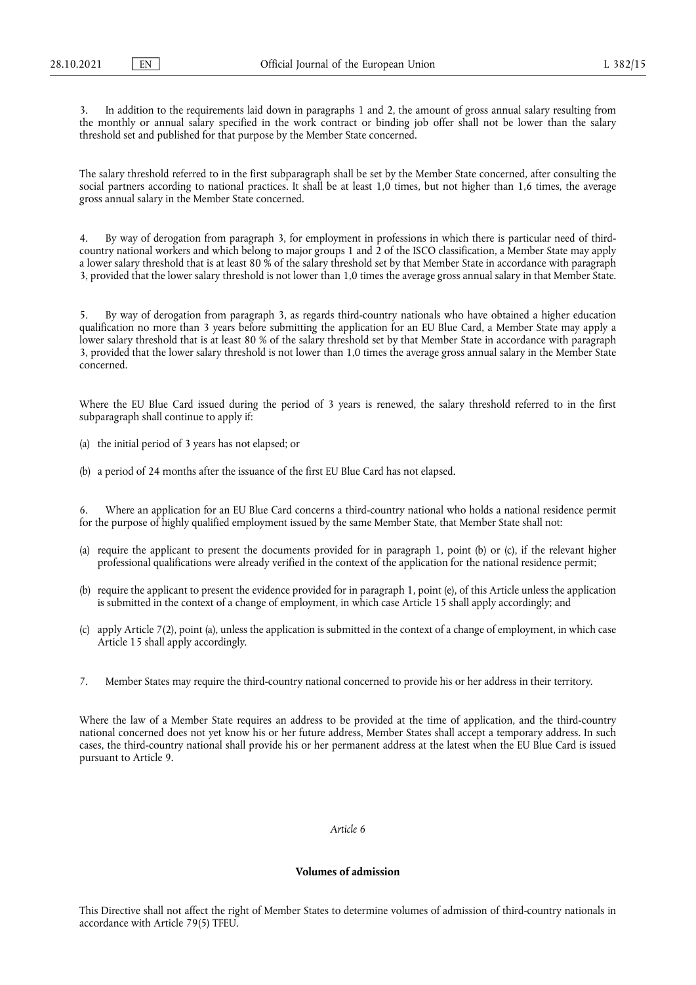3. In addition to the requirements laid down in paragraphs 1 and 2, the amount of gross annual salary resulting from the monthly or annual salary specified in the work contract or binding job offer shall not be lower than the salary threshold set and published for that purpose by the Member State concerned.

The salary threshold referred to in the first subparagraph shall be set by the Member State concerned, after consulting the social partners according to national practices. It shall be at least 1,0 times, but not higher than 1,6 times, the average gross annual salary in the Member State concerned.

4. By way of derogation from paragraph 3, for employment in professions in which there is particular need of thirdcountry national workers and which belong to major groups 1 and 2 of the ISCO classification, a Member State may apply a lower salary threshold that is at least 80 % of the salary threshold set by that Member State in accordance with paragraph 3, provided that the lower salary threshold is not lower than 1,0 times the average gross annual salary in that Member State.

5. By way of derogation from paragraph 3, as regards third-country nationals who have obtained a higher education qualification no more than 3 years before submitting the application for an EU Blue Card, a Member State may apply a lower salary threshold that is at least 80 % of the salary threshold set by that Member State in accordance with paragraph 3, provided that the lower salary threshold is not lower than 1,0 times the average gross annual salary in the Member State concerned.

Where the EU Blue Card issued during the period of 3 years is renewed, the salary threshold referred to in the first subparagraph shall continue to apply if:

- (a) the initial period of 3 years has not elapsed; or
- (b) a period of 24 months after the issuance of the first EU Blue Card has not elapsed.

6. Where an application for an EU Blue Card concerns a third-country national who holds a national residence permit for the purpose of highly qualified employment issued by the same Member State, that Member State shall not:

- (a) require the applicant to present the documents provided for in paragraph 1, point (b) or (c), if the relevant higher professional qualifications were already verified in the context of the application for the national residence permit;
- (b) require the applicant to present the evidence provided for in paragraph 1, point (e), of this Article unless the application is submitted in the context of a change of employment, in which case Article 15 shall apply accordingly; and
- (c) apply Article 7(2), point (a), unless the application is submitted in the context of a change of employment, in which case Article 15 shall apply accordingly.
- 7. Member States may require the third-country national concerned to provide his or her address in their territory.

Where the law of a Member State requires an address to be provided at the time of application, and the third-country national concerned does not yet know his or her future address, Member States shall accept a temporary address. In such cases, the third-country national shall provide his or her permanent address at the latest when the EU Blue Card is issued pursuant to Article 9.

#### *Article 6*

# **Volumes of admission**

This Directive shall not affect the right of Member States to determine volumes of admission of third-country nationals in accordance with Article 79(5) TFEU.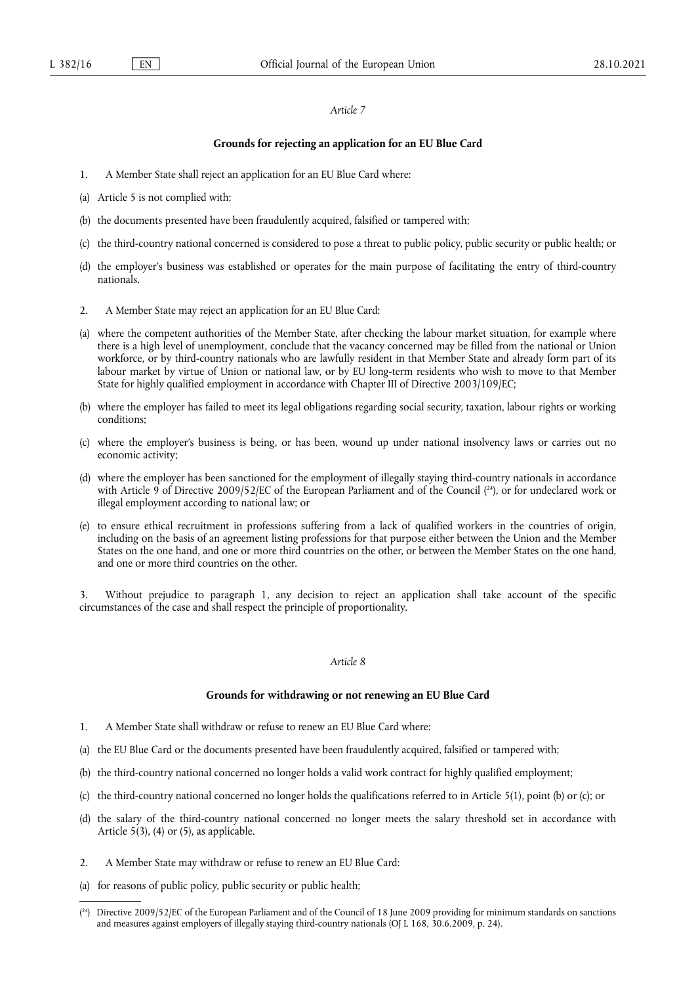#### **Grounds for rejecting an application for an EU Blue Card**

- 1. A Member State shall reject an application for an EU Blue Card where:
- (a) Article 5 is not complied with;
- (b) the documents presented have been fraudulently acquired, falsified or tampered with;
- (c) the third-country national concerned is considered to pose a threat to public policy, public security or public health; or
- (d) the employer's business was established or operates for the main purpose of facilitating the entry of third-country nationals.
- 2. A Member State may reject an application for an EU Blue Card:
- (a) where the competent authorities of the Member State, after checking the labour market situation, for example where there is a high level of unemployment, conclude that the vacancy concerned may be filled from the national or Union workforce, or by third-country nationals who are lawfully resident in that Member State and already form part of its labour market by virtue of Union or national law, or by EU long-term residents who wish to move to that Member State for highly qualified employment in accordance with Chapter III of Directive 2003/109/EC;
- (b) where the employer has failed to meet its legal obligations regarding social security, taxation, labour rights or working conditions;
- (c) where the employer's business is being, or has been, wound up under national insolvency laws or carries out no economic activity;
- <span id="page-15-1"></span>(d) where the employer has been sanctioned for the employment of illegally staying third-country nationals in accordance with Article 9 of Directive 2009/52/EC of the European Parliament and of the Council ( [24\)](#page-15-0), or for undeclared work or illegal employment according to national law; or
- (e) to ensure ethical recruitment in professions suffering from a lack of qualified workers in the countries of origin, including on the basis of an agreement listing professions for that purpose either between the Union and the Member States on the one hand, and one or more third countries on the other, or between the Member States on the one hand, and one or more third countries on the other.

3. Without prejudice to paragraph 1, any decision to reject an application shall take account of the specific circumstances of the case and shall respect the principle of proportionality.

# *Article 8*

#### **Grounds for withdrawing or not renewing an EU Blue Card**

- 1. A Member State shall withdraw or refuse to renew an EU Blue Card where:
- (a) the EU Blue Card or the documents presented have been fraudulently acquired, falsified or tampered with;
- (b) the third-country national concerned no longer holds a valid work contract for highly qualified employment;
- (c) the third-country national concerned no longer holds the qualifications referred to in Article 5(1), point (b) or (c); or
- (d) the salary of the third-country national concerned no longer meets the salary threshold set in accordance with Article  $5(3)$ , (4) or (5), as applicable.
- 2. A Member State may withdraw or refuse to renew an EU Blue Card:
- (a) for reasons of public policy, public security or public health;

<span id="page-15-0"></span><sup>(</sup> [24\)](#page-15-1) Directive 2009/52/EC of the European Parliament and of the Council of 18 June 2009 providing for minimum standards on sanctions and measures against employers of illegally staying third-country nationals (OJ L 168, 30.6.2009, p. 24).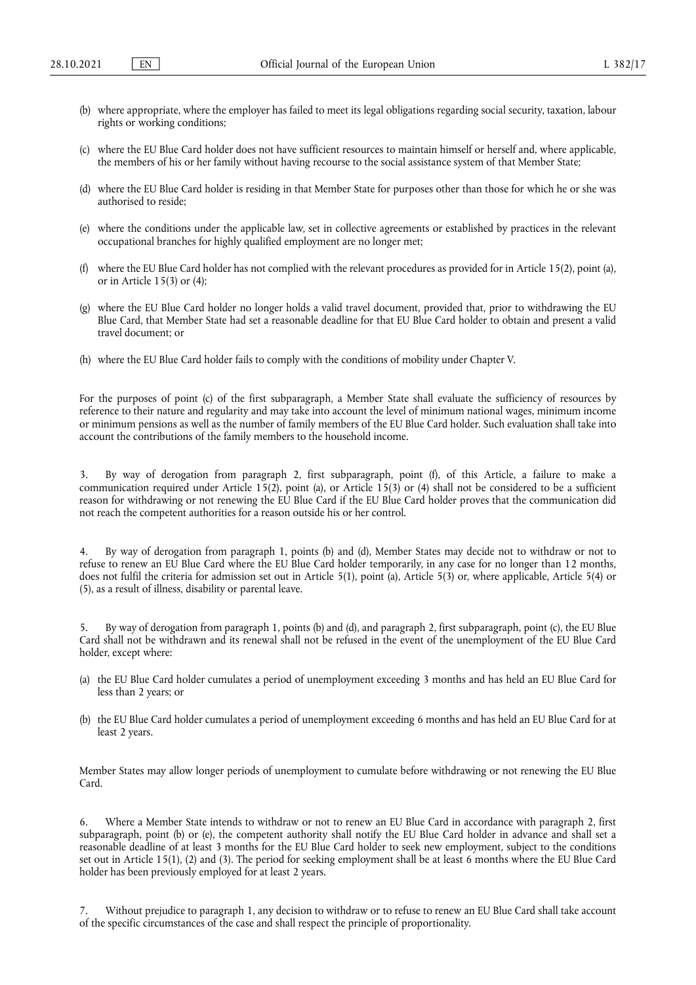- (b) where appropriate, where the employer has failed to meet its legal obligations regarding social security, taxation, labour rights or working conditions;
- (c) where the EU Blue Card holder does not have sufficient resources to maintain himself or herself and, where applicable, the members of his or her family without having recourse to the social assistance system of that Member State;
- (d) where the EU Blue Card holder is residing in that Member State for purposes other than those for which he or she was authorised to reside;
- (e) where the conditions under the applicable law, set in collective agreements or established by practices in the relevant occupational branches for highly qualified employment are no longer met;
- (f) where the EU Blue Card holder has not complied with the relevant procedures as provided for in Article 15(2), point (a), or in Article 15(3) or (4);
- (g) where the EU Blue Card holder no longer holds a valid travel document, provided that, prior to withdrawing the EU Blue Card, that Member State had set a reasonable deadline for that EU Blue Card holder to obtain and present a valid travel document; or
- (h) where the EU Blue Card holder fails to comply with the conditions of mobility under Chapter V.

For the purposes of point (c) of the first subparagraph, a Member State shall evaluate the sufficiency of resources by reference to their nature and regularity and may take into account the level of minimum national wages, minimum income or minimum pensions as well as the number of family members of the EU Blue Card holder. Such evaluation shall take into account the contributions of the family members to the household income.

3. By way of derogation from paragraph 2, first subparagraph, point (f), of this Article, a failure to make a communication required under Article 15(2), point (a), or Article 15(3) or (4) shall not be considered to be a sufficient reason for withdrawing or not renewing the EU Blue Card if the EU Blue Card holder proves that the communication did not reach the competent authorities for a reason outside his or her control.

4. By way of derogation from paragraph 1, points (b) and (d), Member States may decide not to withdraw or not to refuse to renew an EU Blue Card where the EU Blue Card holder temporarily, in any case for no longer than 12 months, does not fulfil the criteria for admission set out in Article 5(1), point (a), Article 5(3) or, where applicable, Article 5(4) or (5), as a result of illness, disability or parental leave.

5. By way of derogation from paragraph 1, points (b) and (d), and paragraph 2, first subparagraph, point (c), the EU Blue Card shall not be withdrawn and its renewal shall not be refused in the event of the unemployment of the EU Blue Card holder, except where:

- (a) the EU Blue Card holder cumulates a period of unemployment exceeding 3 months and has held an EU Blue Card for less than 2 years; or
- (b) the EU Blue Card holder cumulates a period of unemployment exceeding 6 months and has held an EU Blue Card for at least 2 years.

Member States may allow longer periods of unemployment to cumulate before withdrawing or not renewing the EU Blue Card.

6. Where a Member State intends to withdraw or not to renew an EU Blue Card in accordance with paragraph 2, first subparagraph, point (b) or (e), the competent authority shall notify the EU Blue Card holder in advance and shall set a reasonable deadline of at least 3 months for the EU Blue Card holder to seek new employment, subject to the conditions set out in Article 15(1), (2) and (3). The period for seeking employment shall be at least 6 months where the EU Blue Card holder has been previously employed for at least 2 years.

Without prejudice to paragraph 1, any decision to withdraw or to refuse to renew an EU Blue Card shall take account of the specific circumstances of the case and shall respect the principle of proportionality.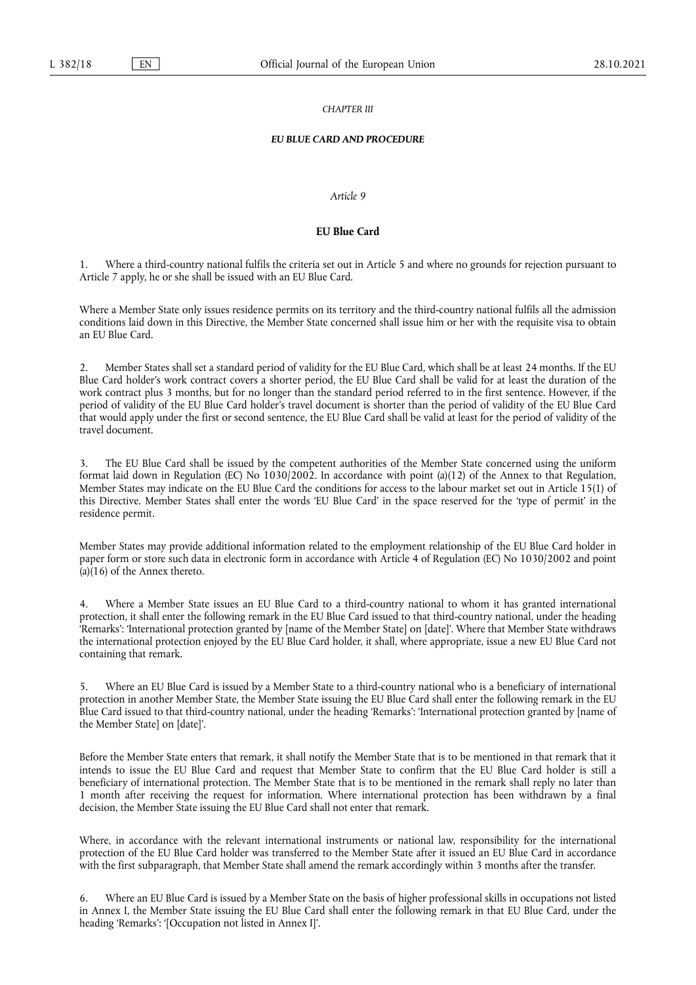#### *CHAPTER III*

#### *EU BLUE CARD AND PROCEDURE*

#### *Article 9*

# **EU Blue Card**

1. Where a third-country national fulfils the criteria set out in Article 5 and where no grounds for rejection pursuant to Article 7 apply, he or she shall be issued with an EU Blue Card.

Where a Member State only issues residence permits on its territory and the third-country national fulfils all the admission conditions laid down in this Directive, the Member State concerned shall issue him or her with the requisite visa to obtain an EU Blue Card.

2. Member States shall set a standard period of validity for the EU Blue Card, which shall be at least 24 months. If the EU Blue Card holder's work contract covers a shorter period, the EU Blue Card shall be valid for at least the duration of the work contract plus 3 months, but for no longer than the standard period referred to in the first sentence. However, if the period of validity of the EU Blue Card holder's travel document is shorter than the period of validity of the EU Blue Card that would apply under the first or second sentence, the EU Blue Card shall be valid at least for the period of validity of the travel document.

The EU Blue Card shall be issued by the competent authorities of the Member State concerned using the uniform format laid down in Regulation (EC) No 1030/2002. In accordance with point (a)(12) of the Annex to that Regulation, Member States may indicate on the EU Blue Card the conditions for access to the labour market set out in Article 15(1) of this Directive. Member States shall enter the words 'EU Blue Card' in the space reserved for the 'type of permit' in the residence permit.

Member States may provide additional information related to the employment relationship of the EU Blue Card holder in paper form or store such data in electronic form in accordance with Article 4 of Regulation (EC) No 1030/2002 and point  $(a)(16)$  of the Annex thereto.

4. Where a Member State issues an EU Blue Card to a third-country national to whom it has granted international protection, it shall enter the following remark in the EU Blue Card issued to that third-country national, under the heading 'Remarks': 'International protection granted by [name of the Member State] on [date]'. Where that Member State withdraws the international protection enjoyed by the EU Blue Card holder, it shall, where appropriate, issue a new EU Blue Card not containing that remark.

5. Where an EU Blue Card is issued by a Member State to a third-country national who is a beneficiary of international protection in another Member State, the Member State issuing the EU Blue Card shall enter the following remark in the EU Blue Card issued to that third-country national, under the heading 'Remarks': 'International protection granted by [name of the Member State] on [date]'.

Before the Member State enters that remark, it shall notify the Member State that is to be mentioned in that remark that it intends to issue the EU Blue Card and request that Member State to confirm that the EU Blue Card holder is still a beneficiary of international protection. The Member State that is to be mentioned in the remark shall reply no later than 1 month after receiving the request for information. Where international protection has been withdrawn by a final decision, the Member State issuing the EU Blue Card shall not enter that remark.

Where, in accordance with the relevant international instruments or national law, responsibility for the international protection of the EU Blue Card holder was transferred to the Member State after it issued an EU Blue Card in accordance with the first subparagraph, that Member State shall amend the remark accordingly within 3 months after the transfer.

6. Where an EU Blue Card is issued by a Member State on the basis of higher professional skills in occupations not listed in Annex I, the Member State issuing the EU Blue Card shall enter the following remark in that EU Blue Card, under the heading 'Remarks': '[Occupation not listed in Annex I]'.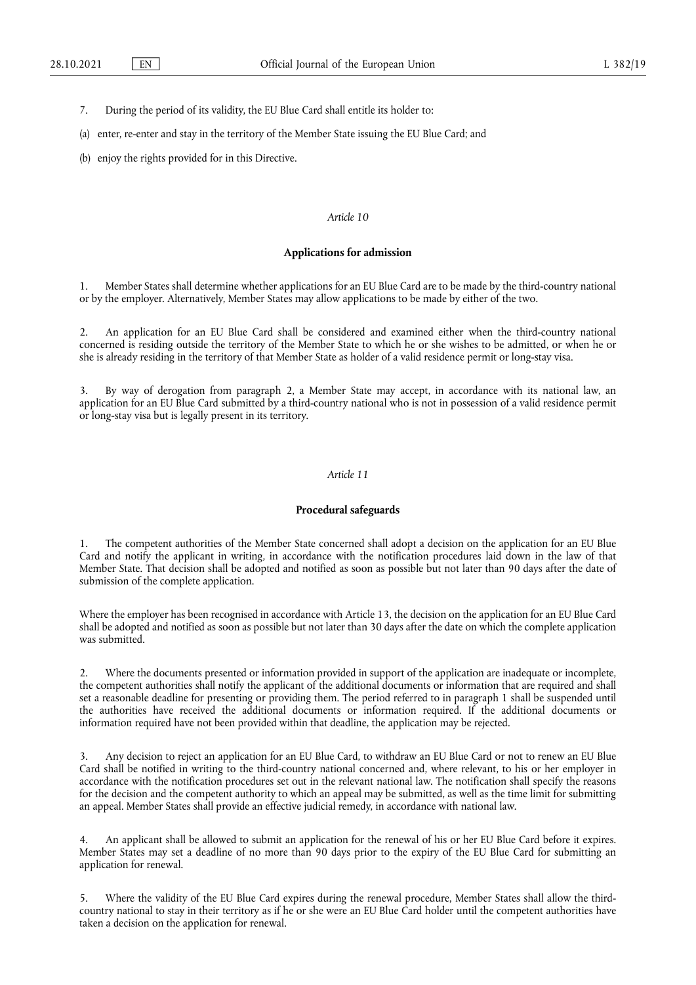- 7. During the period of its validity, the EU Blue Card shall entitle its holder to:
- (a) enter, re-enter and stay in the territory of the Member State issuing the EU Blue Card; and
- (b) enjoy the rights provided for in this Directive.

#### **Applications for admission**

1. Member States shall determine whether applications for an EU Blue Card are to be made by the third-country national or by the employer. Alternatively, Member States may allow applications to be made by either of the two.

2. An application for an EU Blue Card shall be considered and examined either when the third-country national concerned is residing outside the territory of the Member State to which he or she wishes to be admitted, or when he or she is already residing in the territory of that Member State as holder of a valid residence permit or long-stay visa.

3. By way of derogation from paragraph 2, a Member State may accept, in accordance with its national law, an application for an EU Blue Card submitted by a third-country national who is not in possession of a valid residence permit or long-stay visa but is legally present in its territory.

#### *Article 11*

# **Procedural safeguards**

The competent authorities of the Member State concerned shall adopt a decision on the application for an EU Blue Card and notify the applicant in writing, in accordance with the notification procedures laid down in the law of that Member State. That decision shall be adopted and notified as soon as possible but not later than 90 days after the date of submission of the complete application.

Where the employer has been recognised in accordance with Article 13, the decision on the application for an EU Blue Card shall be adopted and notified as soon as possible but not later than 30 days after the date on which the complete application was submitted.

2. Where the documents presented or information provided in support of the application are inadequate or incomplete, the competent authorities shall notify the applicant of the additional documents or information that are required and shall set a reasonable deadline for presenting or providing them. The period referred to in paragraph 1 shall be suspended until the authorities have received the additional documents or information required. If the additional documents or information required have not been provided within that deadline, the application may be rejected.

3. Any decision to reject an application for an EU Blue Card, to withdraw an EU Blue Card or not to renew an EU Blue Card shall be notified in writing to the third-country national concerned and, where relevant, to his or her employer in accordance with the notification procedures set out in the relevant national law. The notification shall specify the reasons for the decision and the competent authority to which an appeal may be submitted, as well as the time limit for submitting an appeal. Member States shall provide an effective judicial remedy, in accordance with national law.

An applicant shall be allowed to submit an application for the renewal of his or her EU Blue Card before it expires. Member States may set a deadline of no more than 90 days prior to the expiry of the EU Blue Card for submitting an application for renewal.

5. Where the validity of the EU Blue Card expires during the renewal procedure, Member States shall allow the thirdcountry national to stay in their territory as if he or she were an EU Blue Card holder until the competent authorities have taken a decision on the application for renewal.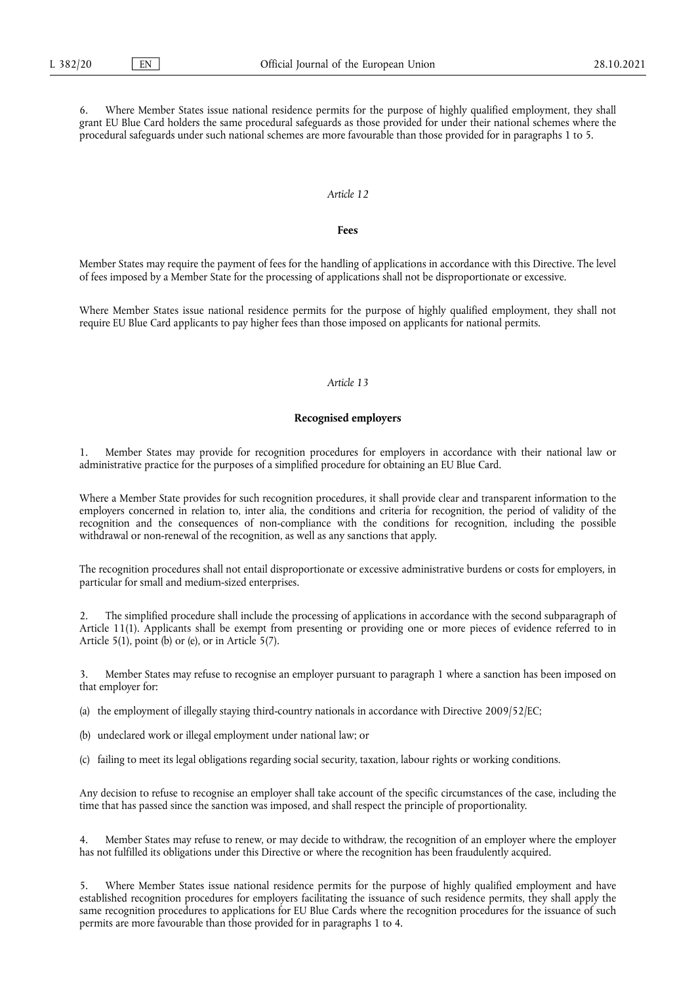Where Member States issue national residence permits for the purpose of highly qualified employment, they shall grant EU Blue Card holders the same procedural safeguards as those provided for under their national schemes where the procedural safeguards under such national schemes are more favourable than those provided for in paragraphs 1 to 5.

# *Article 12*

#### **Fees**

Member States may require the payment of fees for the handling of applications in accordance with this Directive. The level of fees imposed by a Member State for the processing of applications shall not be disproportionate or excessive.

Where Member States issue national residence permits for the purpose of highly qualified employment, they shall not require EU Blue Card applicants to pay higher fees than those imposed on applicants for national permits.

# *Article 13*

#### **Recognised employers**

1. Member States may provide for recognition procedures for employers in accordance with their national law or administrative practice for the purposes of a simplified procedure for obtaining an EU Blue Card.

Where a Member State provides for such recognition procedures, it shall provide clear and transparent information to the employers concerned in relation to, inter alia, the conditions and criteria for recognition, the period of validity of the recognition and the consequences of non-compliance with the conditions for recognition, including the possible withdrawal or non-renewal of the recognition, as well as any sanctions that apply.

The recognition procedures shall not entail disproportionate or excessive administrative burdens or costs for employers, in particular for small and medium-sized enterprises.

2. The simplified procedure shall include the processing of applications in accordance with the second subparagraph of Article 11(1). Applicants shall be exempt from presenting or providing one or more pieces of evidence referred to in Article  $5(1)$ , point (b) or (e), or in Article  $5(7)$ .

3. Member States may refuse to recognise an employer pursuant to paragraph 1 where a sanction has been imposed on that employer for:

(a) the employment of illegally staying third-country nationals in accordance with Directive 2009/52/EC;

- (b) undeclared work or illegal employment under national law; or
- (c) failing to meet its legal obligations regarding social security, taxation, labour rights or working conditions.

Any decision to refuse to recognise an employer shall take account of the specific circumstances of the case, including the time that has passed since the sanction was imposed, and shall respect the principle of proportionality.

Member States may refuse to renew, or may decide to withdraw, the recognition of an employer where the employer has not fulfilled its obligations under this Directive or where the recognition has been fraudulently acquired.

Where Member States issue national residence permits for the purpose of highly qualified employment and have established recognition procedures for employers facilitating the issuance of such residence permits, they shall apply the same recognition procedures to applications for EU Blue Cards where the recognition procedures for the issuance of such permits are more favourable than those provided for in paragraphs 1 to 4.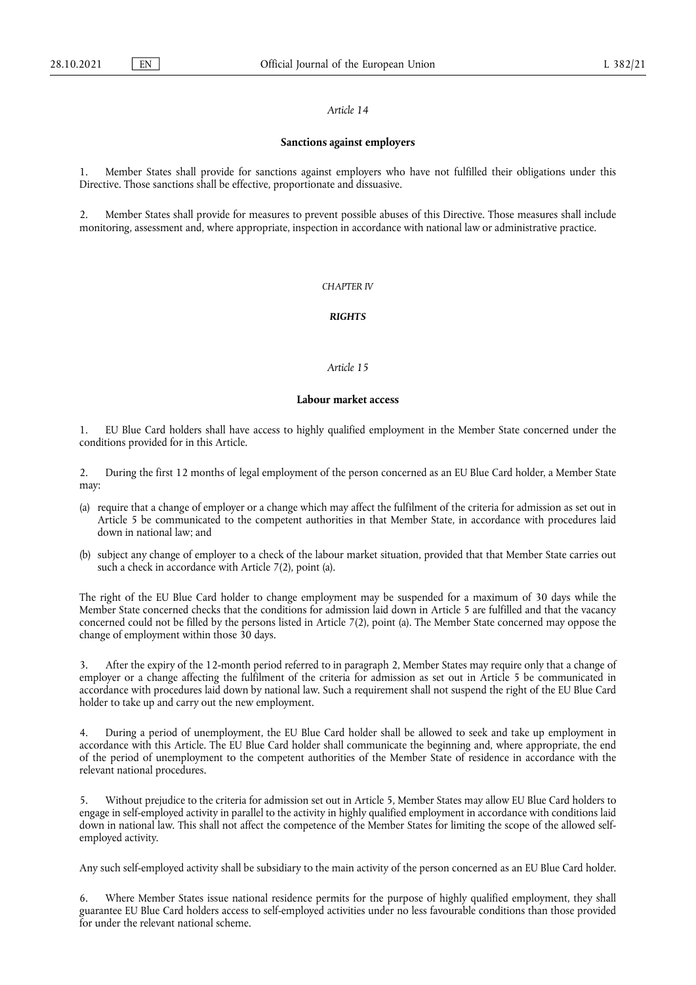#### **Sanctions against employers**

1. Member States shall provide for sanctions against employers who have not fulfilled their obligations under this Directive. Those sanctions shall be effective, proportionate and dissuasive.

2. Member States shall provide for measures to prevent possible abuses of this Directive. Those measures shall include monitoring, assessment and, where appropriate, inspection in accordance with national law or administrative practice.

#### *CHAPTER IV*

# *RIGHTS*

#### *Article 15*

#### **Labour market access**

1. EU Blue Card holders shall have access to highly qualified employment in the Member State concerned under the conditions provided for in this Article.

2. During the first 12 months of legal employment of the person concerned as an EU Blue Card holder, a Member State may:

- (a) require that a change of employer or a change which may affect the fulfilment of the criteria for admission as set out in Article 5 be communicated to the competent authorities in that Member State, in accordance with procedures laid down in national law; and
- (b) subject any change of employer to a check of the labour market situation, provided that that Member State carries out such a check in accordance with Article 7(2), point (a).

The right of the EU Blue Card holder to change employment may be suspended for a maximum of 30 days while the Member State concerned checks that the conditions for admission laid down in Article 5 are fulfilled and that the vacancy concerned could not be filled by the persons listed in Article 7(2), point (a). The Member State concerned may oppose the change of employment within those 30 days.

3. After the expiry of the 12-month period referred to in paragraph 2, Member States may require only that a change of employer or a change affecting the fulfilment of the criteria for admission as set out in Article 5 be communicated in accordance with procedures laid down by national law. Such a requirement shall not suspend the right of the EU Blue Card holder to take up and carry out the new employment.

4. During a period of unemployment, the EU Blue Card holder shall be allowed to seek and take up employment in accordance with this Article. The EU Blue Card holder shall communicate the beginning and, where appropriate, the end of the period of unemployment to the competent authorities of the Member State of residence in accordance with the relevant national procedures.

5. Without prejudice to the criteria for admission set out in Article 5, Member States may allow EU Blue Card holders to engage in self-employed activity in parallel to the activity in highly qualified employment in accordance with conditions laid down in national law. This shall not affect the competence of the Member States for limiting the scope of the allowed selfemployed activity.

Any such self-employed activity shall be subsidiary to the main activity of the person concerned as an EU Blue Card holder.

Where Member States issue national residence permits for the purpose of highly qualified employment, they shall guarantee EU Blue Card holders access to self-employed activities under no less favourable conditions than those provided for under the relevant national scheme.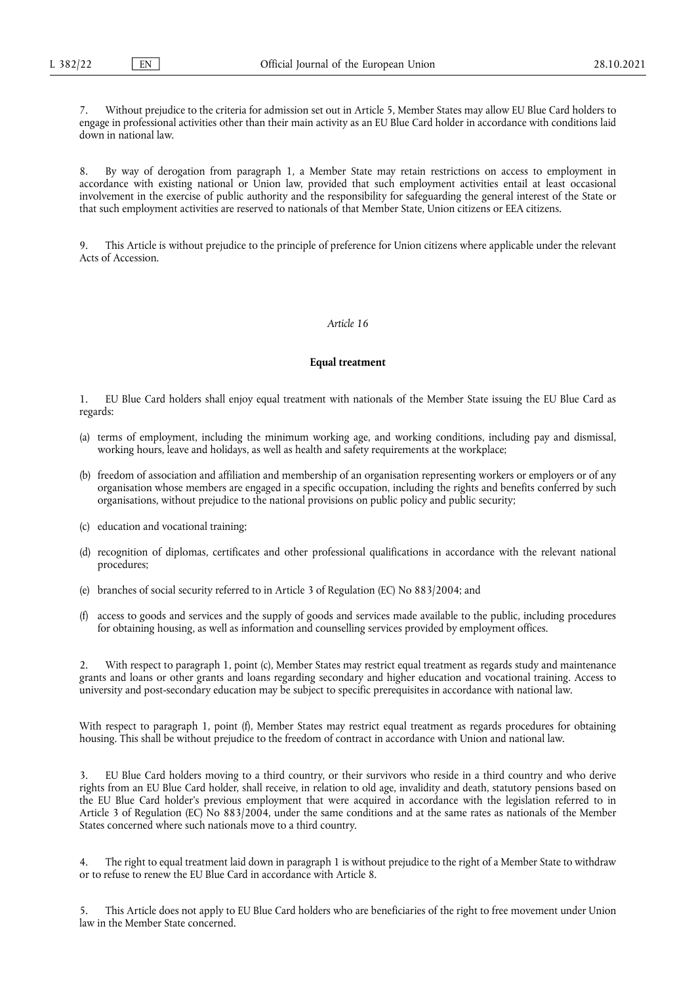7. Without prejudice to the criteria for admission set out in Article 5, Member States may allow EU Blue Card holders to engage in professional activities other than their main activity as an EU Blue Card holder in accordance with conditions laid down in national law.

8. By way of derogation from paragraph 1, a Member State may retain restrictions on access to employment in accordance with existing national or Union law, provided that such employment activities entail at least occasional involvement in the exercise of public authority and the responsibility for safeguarding the general interest of the State or that such employment activities are reserved to nationals of that Member State, Union citizens or EEA citizens.

9. This Article is without prejudice to the principle of preference for Union citizens where applicable under the relevant Acts of Accession.

#### *Article 16*

#### **Equal treatment**

1. EU Blue Card holders shall enjoy equal treatment with nationals of the Member State issuing the EU Blue Card as regards:

- (a) terms of employment, including the minimum working age, and working conditions, including pay and dismissal, working hours, leave and holidays, as well as health and safety requirements at the workplace;
- (b) freedom of association and affiliation and membership of an organisation representing workers or employers or of any organisation whose members are engaged in a specific occupation, including the rights and benefits conferred by such organisations, without prejudice to the national provisions on public policy and public security;
- (c) education and vocational training;
- (d) recognition of diplomas, certificates and other professional qualifications in accordance with the relevant national procedures;
- (e) branches of social security referred to in Article 3 of Regulation (EC) No 883/2004; and
- (f) access to goods and services and the supply of goods and services made available to the public, including procedures for obtaining housing, as well as information and counselling services provided by employment offices.

2. With respect to paragraph 1, point (c), Member States may restrict equal treatment as regards study and maintenance grants and loans or other grants and loans regarding secondary and higher education and vocational training. Access to university and post-secondary education may be subject to specific prerequisites in accordance with national law.

With respect to paragraph 1, point (f), Member States may restrict equal treatment as regards procedures for obtaining housing. This shall be without prejudice to the freedom of contract in accordance with Union and national law.

3. EU Blue Card holders moving to a third country, or their survivors who reside in a third country and who derive rights from an EU Blue Card holder, shall receive, in relation to old age, invalidity and death, statutory pensions based on the EU Blue Card holder's previous employment that were acquired in accordance with the legislation referred to in Article 3 of Regulation (EC) No 883/2004, under the same conditions and at the same rates as nationals of the Member States concerned where such nationals move to a third country.

4. The right to equal treatment laid down in paragraph 1 is without prejudice to the right of a Member State to withdraw or to refuse to renew the EU Blue Card in accordance with Article 8.

5. This Article does not apply to EU Blue Card holders who are beneficiaries of the right to free movement under Union law in the Member State concerned.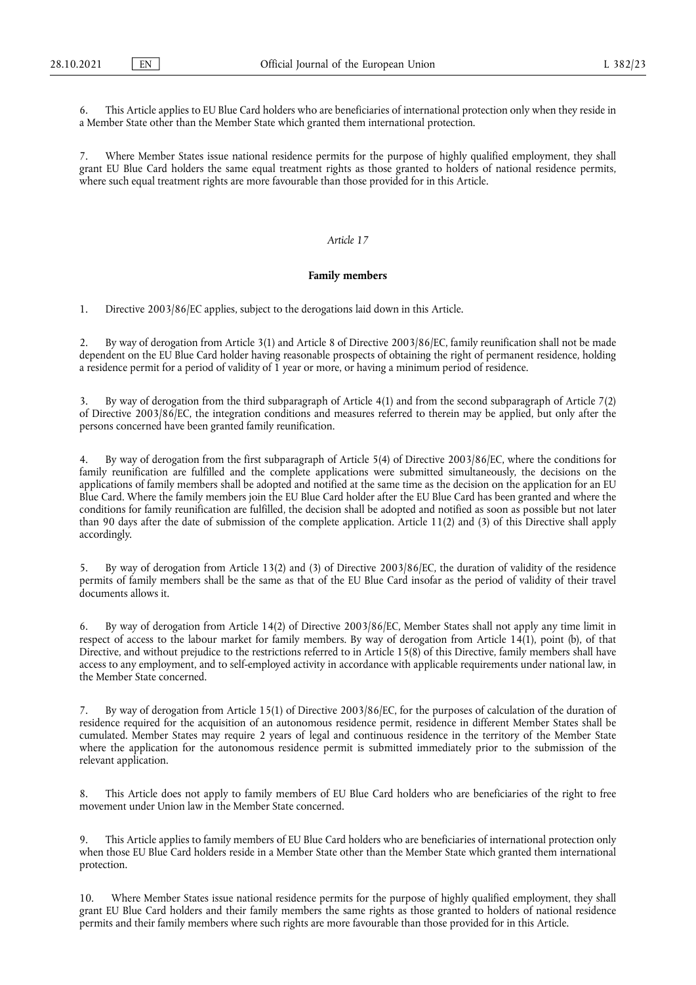6. This Article applies to EU Blue Card holders who are beneficiaries of international protection only when they reside in a Member State other than the Member State which granted them international protection.

Where Member States issue national residence permits for the purpose of highly qualified employment, they shall grant EU Blue Card holders the same equal treatment rights as those granted to holders of national residence permits, where such equal treatment rights are more favourable than those provided for in this Article.

# *Article 17*

# **Family members**

1. Directive 2003/86/EC applies, subject to the derogations laid down in this Article.

2. By way of derogation from Article 3(1) and Article 8 of Directive 2003/86/EC, family reunification shall not be made dependent on the EU Blue Card holder having reasonable prospects of obtaining the right of permanent residence, holding a residence permit for a period of validity of 1 year or more, or having a minimum period of residence.

3. By way of derogation from the third subparagraph of Article 4(1) and from the second subparagraph of Article 7(2) of Directive 2003/86/EC, the integration conditions and measures referred to therein may be applied, but only after the persons concerned have been granted family reunification.

4. By way of derogation from the first subparagraph of Article 5(4) of Directive 2003/86/EC, where the conditions for family reunification are fulfilled and the complete applications were submitted simultaneously, the decisions on the applications of family members shall be adopted and notified at the same time as the decision on the application for an EU Blue Card. Where the family members join the EU Blue Card holder after the EU Blue Card has been granted and where the conditions for family reunification are fulfilled, the decision shall be adopted and notified as soon as possible but not later than 90 days after the date of submission of the complete application. Article 11(2) and (3) of this Directive shall apply accordingly.

5. By way of derogation from Article 13(2) and (3) of Directive 2003/86/EC, the duration of validity of the residence permits of family members shall be the same as that of the EU Blue Card insofar as the period of validity of their travel documents allows it.

6. By way of derogation from Article 14(2) of Directive 2003/86/EC, Member States shall not apply any time limit in respect of access to the labour market for family members. By way of derogation from Article 14(1), point (b), of that Directive, and without prejudice to the restrictions referred to in Article 15(8) of this Directive, family members shall have access to any employment, and to self-employed activity in accordance with applicable requirements under national law, in the Member State concerned.

7. By way of derogation from Article 15(1) of Directive 2003/86/EC, for the purposes of calculation of the duration of residence required for the acquisition of an autonomous residence permit, residence in different Member States shall be cumulated. Member States may require 2 years of legal and continuous residence in the territory of the Member State where the application for the autonomous residence permit is submitted immediately prior to the submission of the relevant application.

8. This Article does not apply to family members of EU Blue Card holders who are beneficiaries of the right to free movement under Union law in the Member State concerned.

9. This Article applies to family members of EU Blue Card holders who are beneficiaries of international protection only when those EU Blue Card holders reside in a Member State other than the Member State which granted them international protection.

10. Where Member States issue national residence permits for the purpose of highly qualified employment, they shall grant EU Blue Card holders and their family members the same rights as those granted to holders of national residence permits and their family members where such rights are more favourable than those provided for in this Article.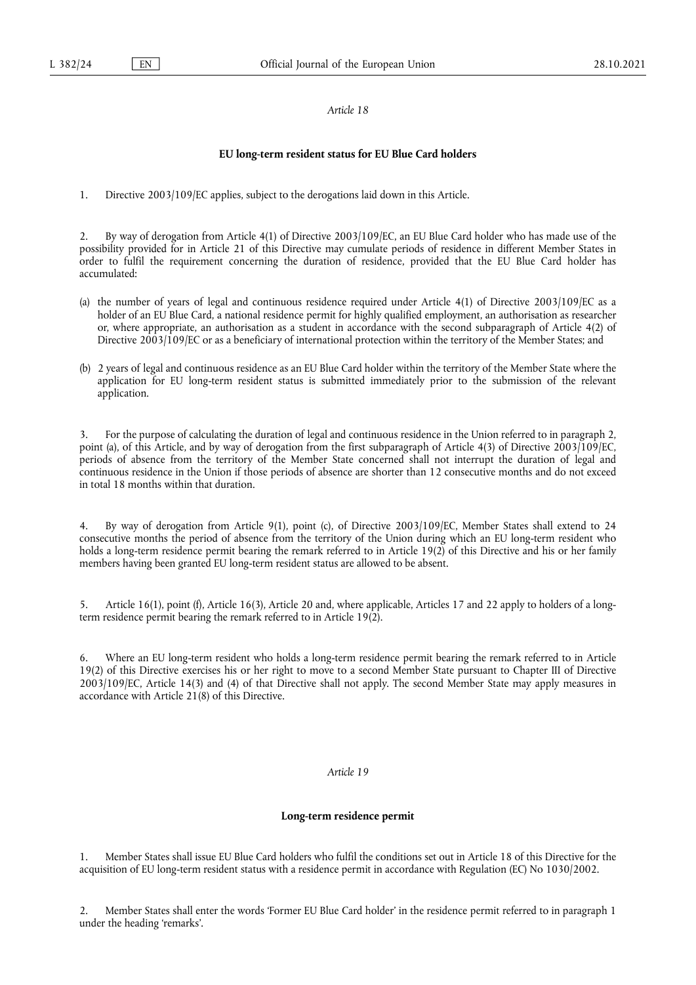#### **EU long-term resident status for EU Blue Card holders**

1. Directive 2003/109/EC applies, subject to the derogations laid down in this Article.

2. By way of derogation from Article 4(1) of Directive 2003/109/EC, an EU Blue Card holder who has made use of the possibility provided for in Article 21 of this Directive may cumulate periods of residence in different Member States in order to fulfil the requirement concerning the duration of residence, provided that the EU Blue Card holder has accumulated:

- (a) the number of years of legal and continuous residence required under Article 4(1) of Directive 2003/109/EC as a holder of an EU Blue Card, a national residence permit for highly qualified employment, an authorisation as researcher or, where appropriate, an authorisation as a student in accordance with the second subparagraph of Article 4(2) of Directive 2003/109/EC or as a beneficiary of international protection within the territory of the Member States; and
- (b) 2 years of legal and continuous residence as an EU Blue Card holder within the territory of the Member State where the application for EU long-term resident status is submitted immediately prior to the submission of the relevant application.

3. For the purpose of calculating the duration of legal and continuous residence in the Union referred to in paragraph 2, point (a), of this Article, and by way of derogation from the first subparagraph of Article 4(3) of Directive 2003/109/EC, periods of absence from the territory of the Member State concerned shall not interrupt the duration of legal and continuous residence in the Union if those periods of absence are shorter than 12 consecutive months and do not exceed in total 18 months within that duration.

4. By way of derogation from Article 9(1), point (c), of Directive 2003/109/EC, Member States shall extend to 24 consecutive months the period of absence from the territory of the Union during which an EU long-term resident who holds a long-term residence permit bearing the remark referred to in Article 19(2) of this Directive and his or her family members having been granted EU long-term resident status are allowed to be absent.

5. Article 16(1), point (f), Article 16(3), Article 20 and, where applicable, Articles 17 and 22 apply to holders of a longterm residence permit bearing the remark referred to in Article 19(2).

6. Where an EU long-term resident who holds a long-term residence permit bearing the remark referred to in Article 19(2) of this Directive exercises his or her right to move to a second Member State pursuant to Chapter III of Directive 2003/109/EC, Article 14(3) and (4) of that Directive shall not apply. The second Member State may apply measures in accordance with Article 21(8) of this Directive.

#### *Article 19*

#### **Long-term residence permit**

1. Member States shall issue EU Blue Card holders who fulfil the conditions set out in Article 18 of this Directive for the acquisition of EU long-term resident status with a residence permit in accordance with Regulation (EC) No 1030/2002.

2. Member States shall enter the words 'Former EU Blue Card holder' in the residence permit referred to in paragraph 1 under the heading 'remarks'.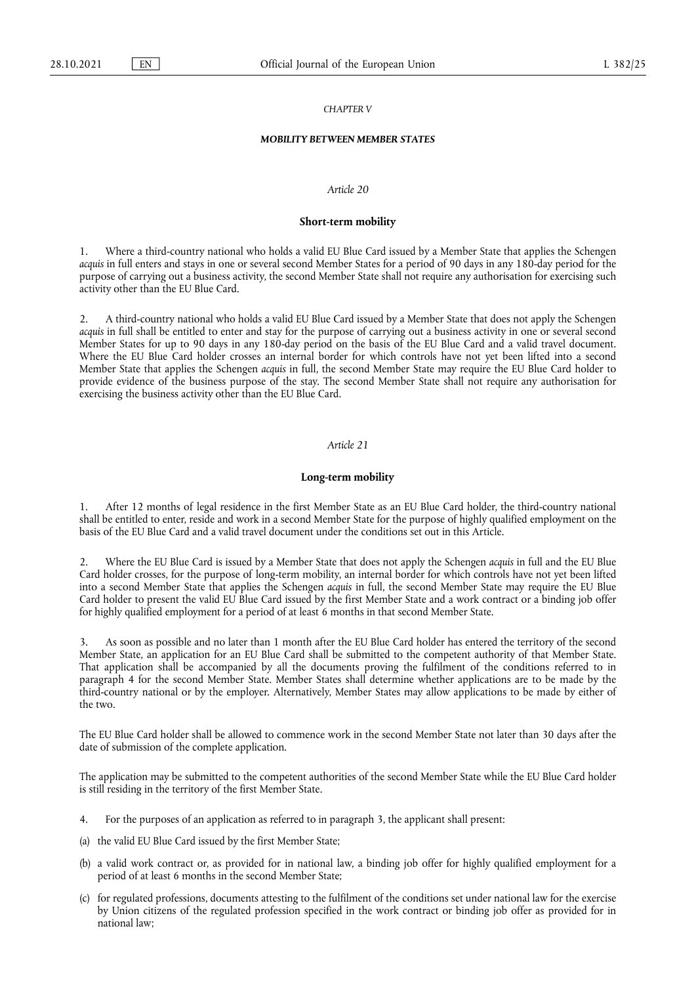### *CHAPTER V*

#### *MOBILITY BETWEEN MEMBER STATES*

#### *Article 20*

#### **Short-term mobility**

1. Where a third-country national who holds a valid EU Blue Card issued by a Member State that applies the Schengen *acquis* in full enters and stays in one or several second Member States for a period of 90 days in any 180-day period for the purpose of carrying out a business activity, the second Member State shall not require any authorisation for exercising such activity other than the EU Blue Card.

2. A third-country national who holds a valid EU Blue Card issued by a Member State that does not apply the Schengen *acquis* in full shall be entitled to enter and stay for the purpose of carrying out a business activity in one or several second Member States for up to 90 days in any 180-day period on the basis of the EU Blue Card and a valid travel document. Where the EU Blue Card holder crosses an internal border for which controls have not yet been lifted into a second Member State that applies the Schengen *acquis* in full, the second Member State may require the EU Blue Card holder to provide evidence of the business purpose of the stay. The second Member State shall not require any authorisation for exercising the business activity other than the EU Blue Card.

#### *Article 21*

#### **Long-term mobility**

1. After 12 months of legal residence in the first Member State as an EU Blue Card holder, the third-country national shall be entitled to enter, reside and work in a second Member State for the purpose of highly qualified employment on the basis of the EU Blue Card and a valid travel document under the conditions set out in this Article.

2. Where the EU Blue Card is issued by a Member State that does not apply the Schengen *acquis* in full and the EU Blue Card holder crosses, for the purpose of long-term mobility, an internal border for which controls have not yet been lifted into a second Member State that applies the Schengen *acquis* in full, the second Member State may require the EU Blue Card holder to present the valid EU Blue Card issued by the first Member State and a work contract or a binding job offer for highly qualified employment for a period of at least 6 months in that second Member State.

3. As soon as possible and no later than 1 month after the EU Blue Card holder has entered the territory of the second Member State, an application for an EU Blue Card shall be submitted to the competent authority of that Member State. That application shall be accompanied by all the documents proving the fulfilment of the conditions referred to in paragraph 4 for the second Member State. Member States shall determine whether applications are to be made by the third-country national or by the employer. Alternatively, Member States may allow applications to be made by either of the two.

The EU Blue Card holder shall be allowed to commence work in the second Member State not later than 30 days after the date of submission of the complete application.

The application may be submitted to the competent authorities of the second Member State while the EU Blue Card holder is still residing in the territory of the first Member State.

- 4. For the purposes of an application as referred to in paragraph 3, the applicant shall present:
- (a) the valid EU Blue Card issued by the first Member State;
- (b) a valid work contract or, as provided for in national law, a binding job offer for highly qualified employment for a period of at least 6 months in the second Member State;
- (c) for regulated professions, documents attesting to the fulfilment of the conditions set under national law for the exercise by Union citizens of the regulated profession specified in the work contract or binding job offer as provided for in national law;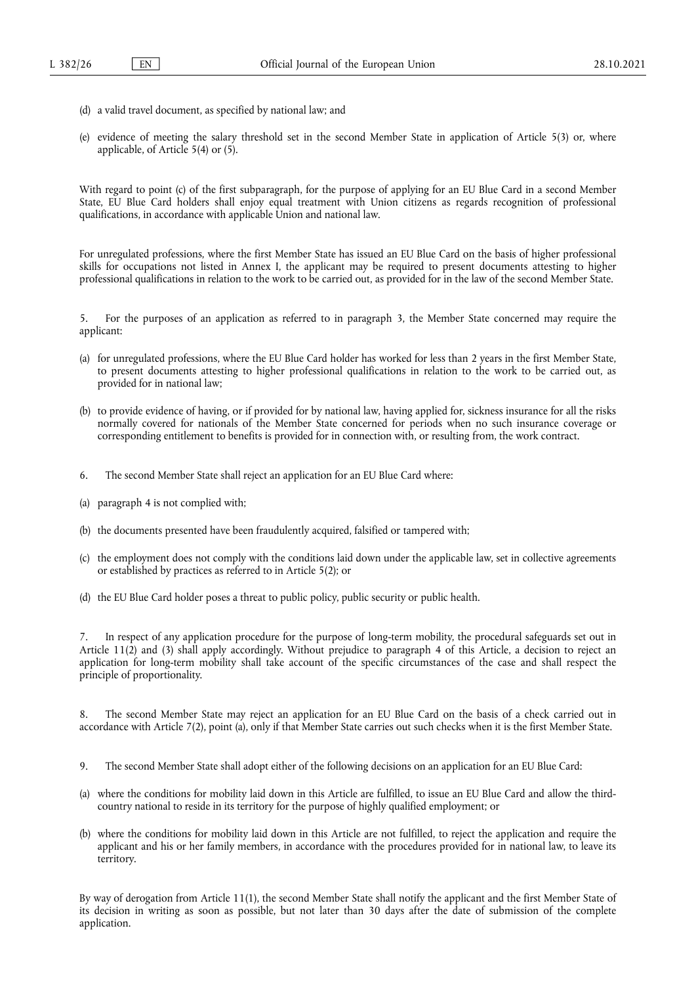- (d) a valid travel document, as specified by national law; and
- (e) evidence of meeting the salary threshold set in the second Member State in application of Article 5(3) or, where applicable, of Article 5(4) or (5).

With regard to point (c) of the first subparagraph, for the purpose of applying for an EU Blue Card in a second Member State, EU Blue Card holders shall enjoy equal treatment with Union citizens as regards recognition of professional qualifications, in accordance with applicable Union and national law.

For unregulated professions, where the first Member State has issued an EU Blue Card on the basis of higher professional skills for occupations not listed in Annex I, the applicant may be required to present documents attesting to higher professional qualifications in relation to the work to be carried out, as provided for in the law of the second Member State.

5. For the purposes of an application as referred to in paragraph 3, the Member State concerned may require the applicant:

- (a) for unregulated professions, where the EU Blue Card holder has worked for less than 2 years in the first Member State, to present documents attesting to higher professional qualifications in relation to the work to be carried out, as provided for in national law;
- (b) to provide evidence of having, or if provided for by national law, having applied for, sickness insurance for all the risks normally covered for nationals of the Member State concerned for periods when no such insurance coverage or corresponding entitlement to benefits is provided for in connection with, or resulting from, the work contract.
- 6. The second Member State shall reject an application for an EU Blue Card where:
- (a) paragraph 4 is not complied with;
- (b) the documents presented have been fraudulently acquired, falsified or tampered with;
- (c) the employment does not comply with the conditions laid down under the applicable law, set in collective agreements or established by practices as referred to in Article 5(2); or
- (d) the EU Blue Card holder poses a threat to public policy, public security or public health.

7. In respect of any application procedure for the purpose of long-term mobility, the procedural safeguards set out in Article 11(2) and (3) shall apply accordingly. Without prejudice to paragraph 4 of this Article, a decision to reject an application for long-term mobility shall take account of the specific circumstances of the case and shall respect the principle of proportionality.

8. The second Member State may reject an application for an EU Blue Card on the basis of a check carried out in accordance with Article 7(2), point (a), only if that Member State carries out such checks when it is the first Member State.

- 9. The second Member State shall adopt either of the following decisions on an application for an EU Blue Card:
- (a) where the conditions for mobility laid down in this Article are fulfilled, to issue an EU Blue Card and allow the thirdcountry national to reside in its territory for the purpose of highly qualified employment; or
- (b) where the conditions for mobility laid down in this Article are not fulfilled, to reject the application and require the applicant and his or her family members, in accordance with the procedures provided for in national law, to leave its territory.

By way of derogation from Article 11(1), the second Member State shall notify the applicant and the first Member State of its decision in writing as soon as possible, but not later than 30 days after the date of submission of the complete application.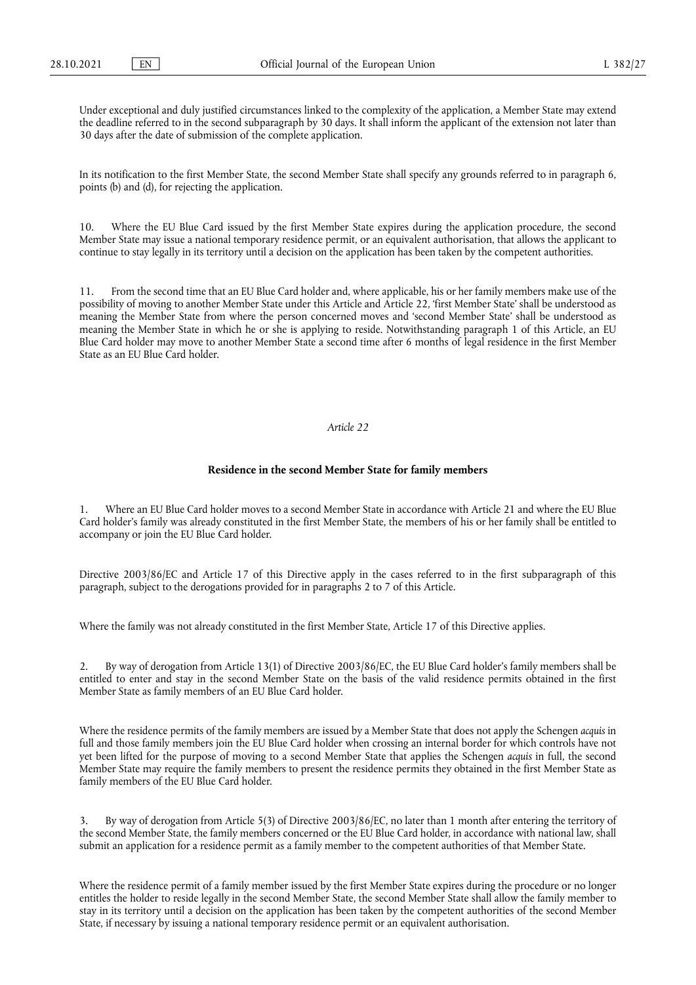Under exceptional and duly justified circumstances linked to the complexity of the application, a Member State may extend the deadline referred to in the second subparagraph by 30 days. It shall inform the applicant of the extension not later than 30 days after the date of submission of the complete application.

In its notification to the first Member State, the second Member State shall specify any grounds referred to in paragraph 6, points (b) and (d), for rejecting the application.

10. Where the EU Blue Card issued by the first Member State expires during the application procedure, the second Member State may issue a national temporary residence permit, or an equivalent authorisation, that allows the applicant to continue to stay legally in its territory until a decision on the application has been taken by the competent authorities.

11. From the second time that an EU Blue Card holder and, where applicable, his or her family members make use of the possibility of moving to another Member State under this Article and Article 22, 'first Member State' shall be understood as meaning the Member State from where the person concerned moves and 'second Member State' shall be understood as meaning the Member State in which he or she is applying to reside. Notwithstanding paragraph 1 of this Article, an EU Blue Card holder may move to another Member State a second time after 6 months of legal residence in the first Member State as an EU Blue Card holder.

#### *Article 22*

#### **Residence in the second Member State for family members**

Where an EU Blue Card holder moves to a second Member State in accordance with Article 21 and where the EU Blue Card holder's family was already constituted in the first Member State, the members of his or her family shall be entitled to accompany or join the EU Blue Card holder.

Directive 2003/86/EC and Article 17 of this Directive apply in the cases referred to in the first subparagraph of this paragraph, subject to the derogations provided for in paragraphs 2 to 7 of this Article.

Where the family was not already constituted in the first Member State, Article 17 of this Directive applies.

2. By way of derogation from Article 13(1) of Directive 2003/86/EC, the EU Blue Card holder's family members shall be entitled to enter and stay in the second Member State on the basis of the valid residence permits obtained in the first Member State as family members of an EU Blue Card holder.

Where the residence permits of the family members are issued by a Member State that does not apply the Schengen *acquis* in full and those family members join the EU Blue Card holder when crossing an internal border for which controls have not yet been lifted for the purpose of moving to a second Member State that applies the Schengen *acquis* in full, the second Member State may require the family members to present the residence permits they obtained in the first Member State as family members of the EU Blue Card holder.

3. By way of derogation from Article 5(3) of Directive 2003/86/EC, no later than 1 month after entering the territory of the second Member State, the family members concerned or the EU Blue Card holder, in accordance with national law, shall submit an application for a residence permit as a family member to the competent authorities of that Member State.

Where the residence permit of a family member issued by the first Member State expires during the procedure or no longer entitles the holder to reside legally in the second Member State, the second Member State shall allow the family member to stay in its territory until a decision on the application has been taken by the competent authorities of the second Member State, if necessary by issuing a national temporary residence permit or an equivalent authorisation.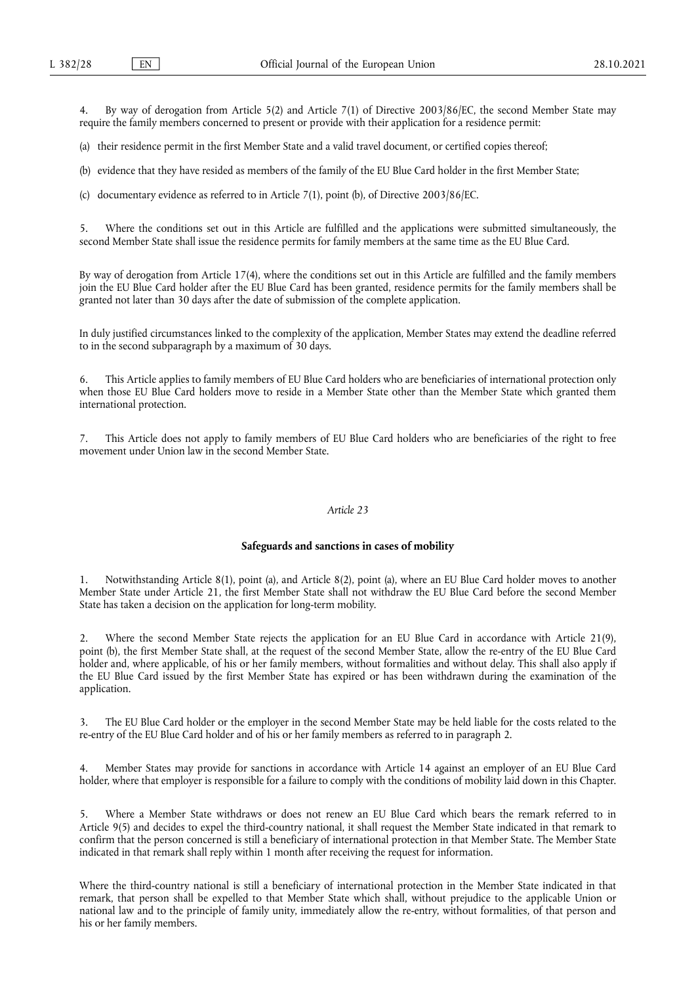By way of derogation from Article 5(2) and Article 7(1) of Directive 2003/86/EC, the second Member State may require the family members concerned to present or provide with their application for a residence permit:

(a) their residence permit in the first Member State and a valid travel document, or certified copies thereof;

(b) evidence that they have resided as members of the family of the EU Blue Card holder in the first Member State;

(c) documentary evidence as referred to in Article 7(1), point (b), of Directive 2003/86/EC.

Where the conditions set out in this Article are fulfilled and the applications were submitted simultaneously, the second Member State shall issue the residence permits for family members at the same time as the EU Blue Card.

By way of derogation from Article 17(4), where the conditions set out in this Article are fulfilled and the family members join the EU Blue Card holder after the EU Blue Card has been granted, residence permits for the family members shall be granted not later than 30 days after the date of submission of the complete application.

In duly justified circumstances linked to the complexity of the application, Member States may extend the deadline referred to in the second subparagraph by a maximum of 30 days.

6. This Article applies to family members of EU Blue Card holders who are beneficiaries of international protection only when those EU Blue Card holders move to reside in a Member State other than the Member State which granted them international protection.

This Article does not apply to family members of EU Blue Card holders who are beneficiaries of the right to free movement under Union law in the second Member State.

#### *Article 23*

#### **Safeguards and sanctions in cases of mobility**

1. Notwithstanding Article 8(1), point (a), and Article 8(2), point (a), where an EU Blue Card holder moves to another Member State under Article 21, the first Member State shall not withdraw the EU Blue Card before the second Member State has taken a decision on the application for long-term mobility.

2. Where the second Member State rejects the application for an EU Blue Card in accordance with Article 21(9), point (b), the first Member State shall, at the request of the second Member State, allow the re-entry of the EU Blue Card holder and, where applicable, of his or her family members, without formalities and without delay. This shall also apply if the EU Blue Card issued by the first Member State has expired or has been withdrawn during the examination of the application.

3. The EU Blue Card holder or the employer in the second Member State may be held liable for the costs related to the re-entry of the EU Blue Card holder and of his or her family members as referred to in paragraph 2.

4. Member States may provide for sanctions in accordance with Article 14 against an employer of an EU Blue Card holder, where that employer is responsible for a failure to comply with the conditions of mobility laid down in this Chapter.

5. Where a Member State withdraws or does not renew an EU Blue Card which bears the remark referred to in Article 9(5) and decides to expel the third-country national, it shall request the Member State indicated in that remark to confirm that the person concerned is still a beneficiary of international protection in that Member State. The Member State indicated in that remark shall reply within 1 month after receiving the request for information.

Where the third-country national is still a beneficiary of international protection in the Member State indicated in that remark, that person shall be expelled to that Member State which shall, without prejudice to the applicable Union or national law and to the principle of family unity, immediately allow the re-entry, without formalities, of that person and his or her family members.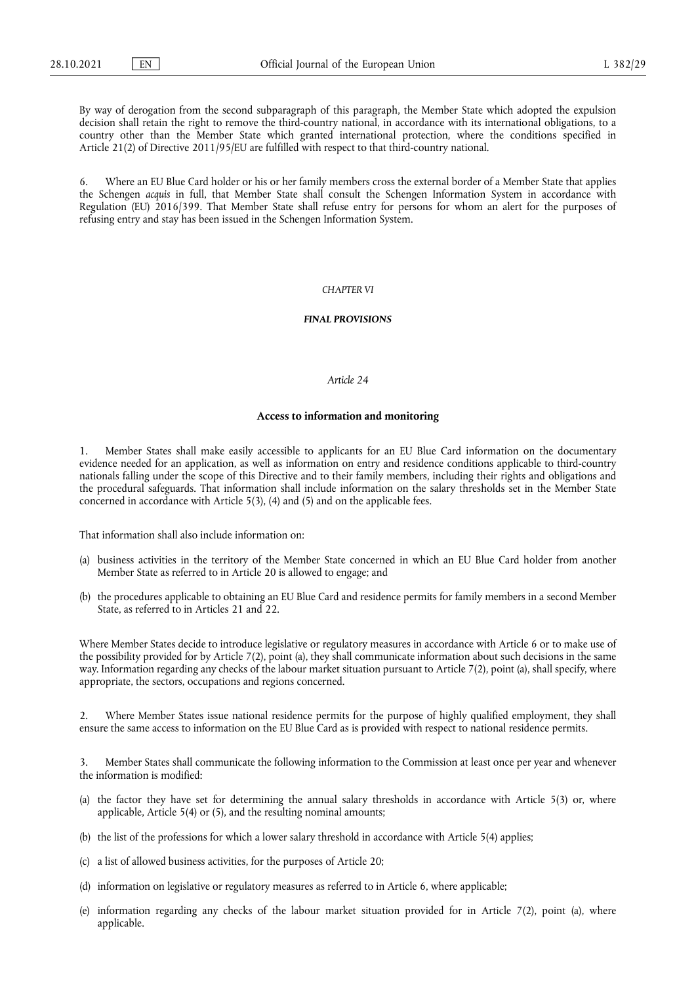By way of derogation from the second subparagraph of this paragraph, the Member State which adopted the expulsion decision shall retain the right to remove the third-country national, in accordance with its international obligations, to a country other than the Member State which granted international protection, where the conditions specified in Article 21(2) of Directive 2011/95/EU are fulfilled with respect to that third-country national.

Where an EU Blue Card holder or his or her family members cross the external border of a Member State that applies the Schengen *acquis* in full, that Member State shall consult the Schengen Information System in accordance with Regulation (EU) 2016/399. That Member State shall refuse entry for persons for whom an alert for the purposes of refusing entry and stay has been issued in the Schengen Information System.

### *CHAPTER VI*

#### *FINAL PROVISIONS*

# *Article 24*

#### **Access to information and monitoring**

1. Member States shall make easily accessible to applicants for an EU Blue Card information on the documentary evidence needed for an application, as well as information on entry and residence conditions applicable to third-country nationals falling under the scope of this Directive and to their family members, including their rights and obligations and the procedural safeguards. That information shall include information on the salary thresholds set in the Member State concerned in accordance with Article 5(3), (4) and (5) and on the applicable fees.

That information shall also include information on:

- (a) business activities in the territory of the Member State concerned in which an EU Blue Card holder from another Member State as referred to in Article 20 is allowed to engage; and
- (b) the procedures applicable to obtaining an EU Blue Card and residence permits for family members in a second Member State, as referred to in Articles 21 and 22.

Where Member States decide to introduce legislative or regulatory measures in accordance with Article 6 or to make use of the possibility provided for by Article 7(2), point (a), they shall communicate information about such decisions in the same way. Information regarding any checks of the labour market situation pursuant to Article 7(2), point (a), shall specify, where appropriate, the sectors, occupations and regions concerned.

2. Where Member States issue national residence permits for the purpose of highly qualified employment, they shall ensure the same access to information on the EU Blue Card as is provided with respect to national residence permits.

3. Member States shall communicate the following information to the Commission at least once per year and whenever the information is modified:

- (a) the factor they have set for determining the annual salary thresholds in accordance with Article 5(3) or, where applicable, Article 5(4) or (5), and the resulting nominal amounts;
- (b) the list of the professions for which a lower salary threshold in accordance with Article 5(4) applies;
- (c) a list of allowed business activities, for the purposes of Article 20;
- (d) information on legislative or regulatory measures as referred to in Article 6, where applicable;
- (e) information regarding any checks of the labour market situation provided for in Article 7(2), point (a), where applicable.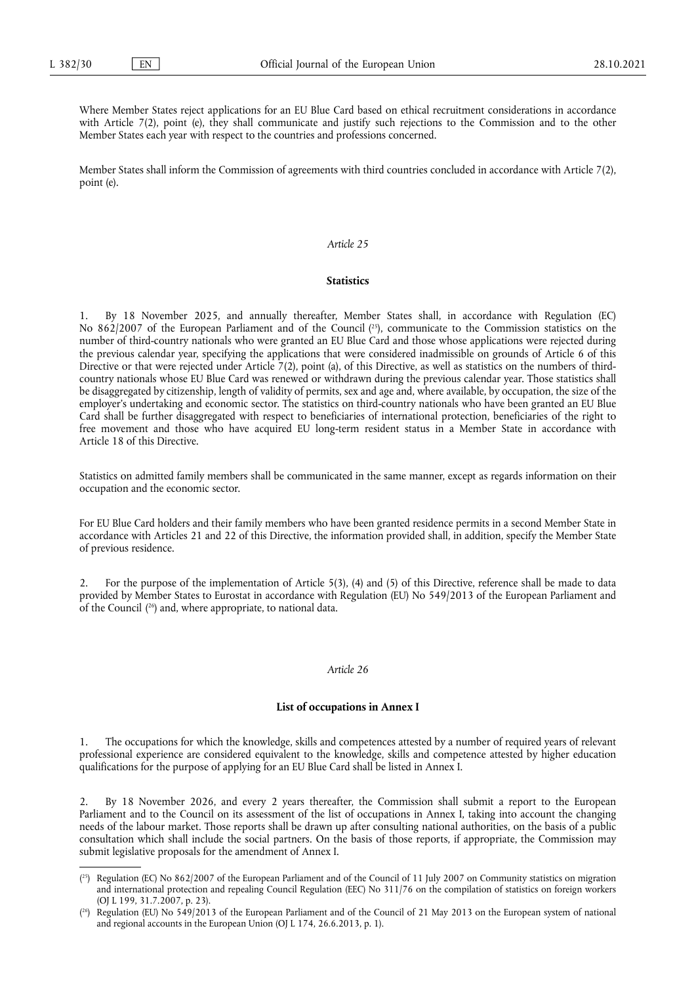Where Member States reject applications for an EU Blue Card based on ethical recruitment considerations in accordance with Article 7(2), point (e), they shall communicate and justify such rejections to the Commission and to the other Member States each year with respect to the countries and professions concerned.

Member States shall inform the Commission of agreements with third countries concluded in accordance with Article 7(2), point (e).

#### *Article 25*

#### **Statistics**

<span id="page-29-2"></span>1. By 18 November 2025, and annually thereafter, Member States shall, in accordance with Regulation (EC) No 862/2007 of the European Parliament and of the Council ( [25\),](#page-29-0) communicate to the Commission statistics on the number of third-country nationals who were granted an EU Blue Card and those whose applications were rejected during the previous calendar year, specifying the applications that were considered inadmissible on grounds of Article 6 of this Directive or that were rejected under Article 7(2), point (a), of this Directive, as well as statistics on the numbers of thirdcountry nationals whose EU Blue Card was renewed or withdrawn during the previous calendar year. Those statistics shall be disaggregated by citizenship, length of validity of permits, sex and age and, where available, by occupation, the size of the employer's undertaking and economic sector. The statistics on third-country nationals who have been granted an EU Blue Card shall be further disaggregated with respect to beneficiaries of international protection, beneficiaries of the right to free movement and those who have acquired EU long-term resident status in a Member State in accordance with Article 18 of this Directive.

Statistics on admitted family members shall be communicated in the same manner, except as regards information on their occupation and the economic sector.

For EU Blue Card holders and their family members who have been granted residence permits in a second Member State in accordance with Articles 21 and 22 of this Directive, the information provided shall, in addition, specify the Member State of previous residence.

<span id="page-29-3"></span>2. For the purpose of the implementation of Article 5(3), (4) and (5) of this Directive, reference shall be made to data provided by Member States to Eurostat in accordance with Regulation (EU) No 549/2013 of the European Parliament and of the Council ( [26\)](#page-29-1) and, where appropriate, to national data.

#### *Article 26*

#### **List of occupations in Annex I**

1. The occupations for which the knowledge, skills and competences attested by a number of required years of relevant professional experience are considered equivalent to the knowledge, skills and competence attested by higher education qualifications for the purpose of applying for an EU Blue Card shall be listed in Annex I.

2. By 18 November 2026, and every 2 years thereafter, the Commission shall submit a report to the European Parliament and to the Council on its assessment of the list of occupations in Annex I, taking into account the changing needs of the labour market. Those reports shall be drawn up after consulting national authorities, on the basis of a public consultation which shall include the social partners. On the basis of those reports, if appropriate, the Commission may submit legislative proposals for the amendment of Annex I.

<span id="page-29-0"></span> $(2^5)$  Regulation (EC) No 862/2007 of the European Parliament and of the Council of 11 July 2007 on Community statistics on migration and international protection and repealing Council Regulation (EEC) No 311/76 on the compilation of statistics on foreign workers (OJ L 199, 31.7.2007, p. 23).

<span id="page-29-1"></span><sup>(</sup> [26\)](#page-29-3) Regulation (EU) No 549/2013 of the European Parliament and of the Council of 21 May 2013 on the European system of national and regional accounts in the European Union (OJ L 174, 26.6.2013, p. 1).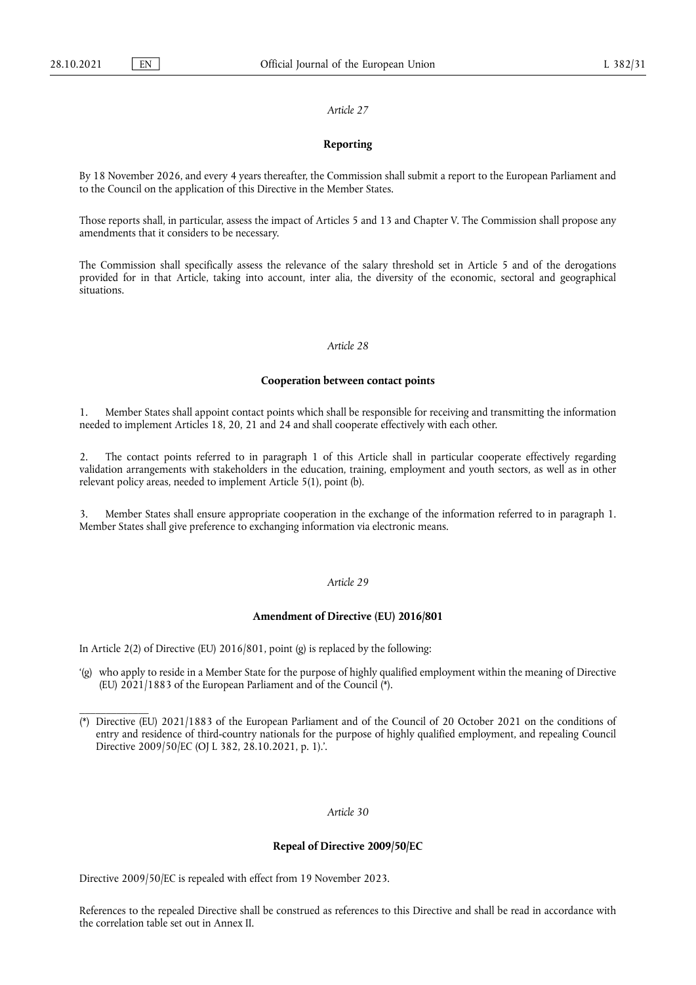\_\_\_\_\_\_\_\_\_\_\_\_\_

#### *Article 27*

#### **Reporting**

By 18 November 2026, and every 4 years thereafter, the Commission shall submit a report to the European Parliament and to the Council on the application of this Directive in the Member States.

Those reports shall, in particular, assess the impact of Articles 5 and 13 and Chapter V. The Commission shall propose any amendments that it considers to be necessary.

The Commission shall specifically assess the relevance of the salary threshold set in Article 5 and of the derogations provided for in that Article, taking into account, inter alia, the diversity of the economic, sectoral and geographical situations.

# *Article 28*

#### **Cooperation between contact points**

1. Member States shall appoint contact points which shall be responsible for receiving and transmitting the information needed to implement Articles 18, 20, 21 and 24 and shall cooperate effectively with each other.

2. The contact points referred to in paragraph 1 of this Article shall in particular cooperate effectively regarding validation arrangements with stakeholders in the education, training, employment and youth sectors, as well as in other relevant policy areas, needed to implement Article 5(1), point (b).

3. Member States shall ensure appropriate cooperation in the exchange of the information referred to in paragraph 1. Member States shall give preference to exchanging information via electronic means.

# *Article 29*

#### **Amendment of Directive (EU) 2016/801**

In Article 2(2) of Directive (EU) 2016/801, point (g) is replaced by the following:

'(g) who apply to reside in a Member State for the purpose of highly qualified employment within the meaning of Directive (EU) 2021/1883 of the European Parliament and of the Counci[l \(\\*\)](#page-30-0).

# *Article 30*

#### **Repeal of Directive 2009/50/EC**

Directive 2009/50/EC is repealed with effect from 19 November 2023.

References to the repealed Directive shall be construed as references to this Directive and shall be read in accordance with the correlation table set out in Annex II.

<span id="page-30-0"></span><sup>(\*)</sup> Directive (EU) 2021/1883 of the European Parliament and of the Council of 20 October 2021 on the conditions of entry and residence of third-country nationals for the purpose of highly qualified employment, and repealing Council Directive 2009/50/EC (OJ L 382, 28.10.2021, p. 1).'.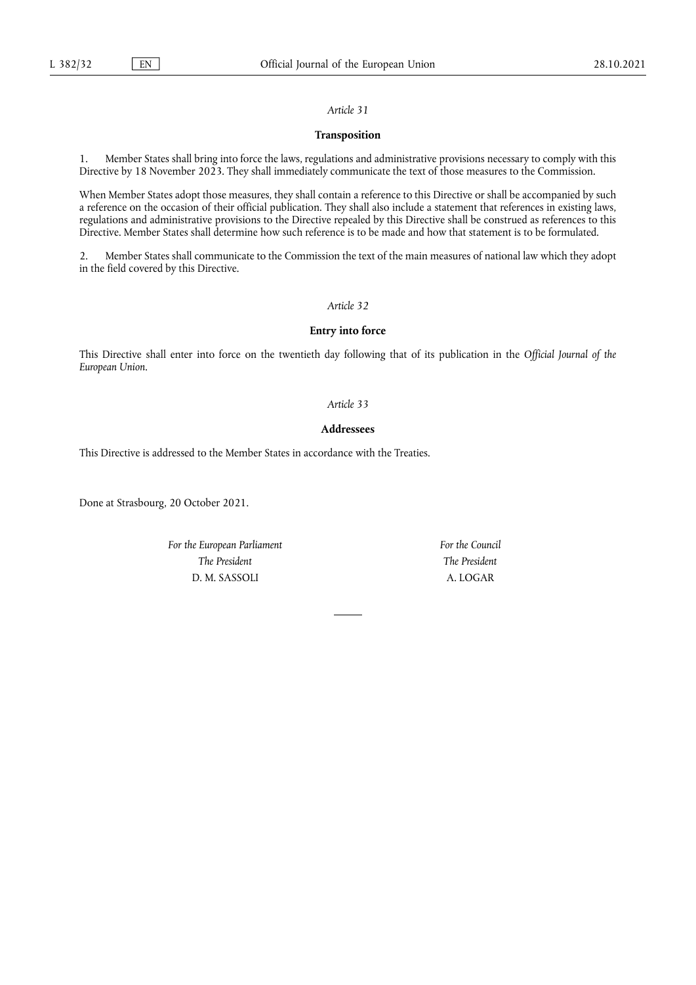# **Transposition**

1. Member States shall bring into force the laws, regulations and administrative provisions necessary to comply with this Directive by 18 November 2023. They shall immediately communicate the text of those measures to the Commission.

When Member States adopt those measures, they shall contain a reference to this Directive or shall be accompanied by such a reference on the occasion of their official publication. They shall also include a statement that references in existing laws, regulations and administrative provisions to the Directive repealed by this Directive shall be construed as references to this Directive. Member States shall determine how such reference is to be made and how that statement is to be formulated.

2. Member States shall communicate to the Commission the text of the main measures of national law which they adopt in the field covered by this Directive.

# *Article 32*

# **Entry into force**

This Directive shall enter into force on the twentieth day following that of its publication in the *Official Journal of the European Union*.

#### *Article 33*

# **Addressees**

This Directive is addressed to the Member States in accordance with the Treaties.

Done at Strasbourg, 20 October 2021.

*For the European Parliament The President* D. M. SASSOLI

*For the Council The President* A. LOGAR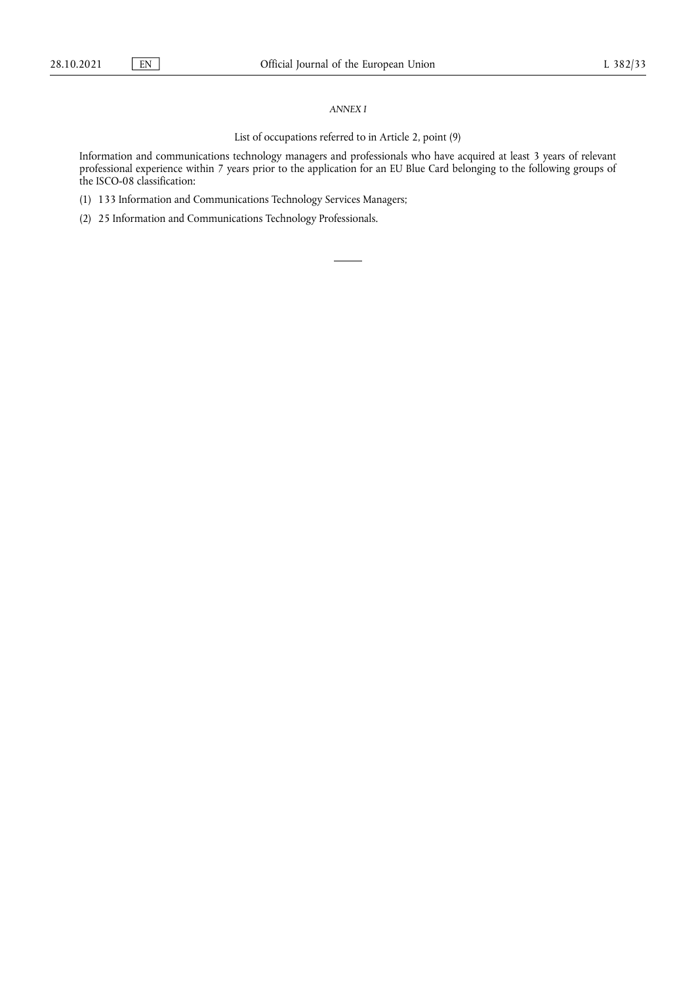#### *ANNEX I*

# List of occupations referred to in Article 2, point (9)

Information and communications technology managers and professionals who have acquired at least 3 years of relevant professional experience within 7 years prior to the application for an EU Blue Card belonging to the following groups of the ISCO-08 classification:

- (1) 133 Information and Communications Technology Services Managers;
- (2) 25 Information and Communications Technology Professionals.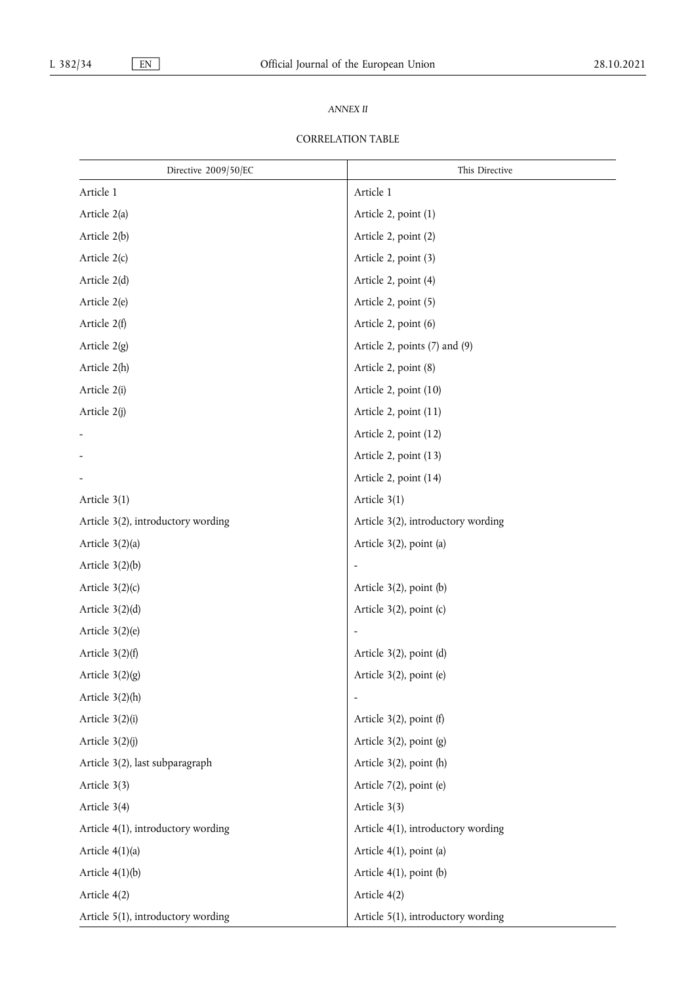# *ANNEX II*

# CORRELATION TABLE

| Directive 2009/50/EC               | This Directive                     |
|------------------------------------|------------------------------------|
| Article 1                          | Article 1                          |
| Article 2(a)                       | Article 2, point (1)               |
| Article 2(b)                       | Article 2, point (2)               |
| Article 2(c)                       | Article 2, point (3)               |
| Article 2(d)                       | Article 2, point (4)               |
| Article 2(e)                       | Article 2, point (5)               |
| Article 2(f)                       | Article 2, point (6)               |
| Article $2(g)$                     | Article 2, points (7) and (9)      |
| Article 2(h)                       | Article 2, point (8)               |
| Article 2(i)                       | Article 2, point (10)              |
| Article 2(j)                       | Article 2, point (11)              |
|                                    | Article 2, point (12)              |
|                                    | Article 2, point (13)              |
|                                    | Article 2, point (14)              |
| Article 3(1)                       | Article 3(1)                       |
| Article 3(2), introductory wording | Article 3(2), introductory wording |
| Article $3(2)(a)$                  | Article 3(2), point (a)            |
| Article $3(2)(b)$                  |                                    |
| Article $3(2)(c)$                  | Article $3(2)$ , point (b)         |
| Article $3(2)(d)$                  | Article $3(2)$ , point (c)         |
| Article $3(2)(e)$                  |                                    |
| Article $3(2)(f)$                  | Article $3(2)$ , point (d)         |
| Article $3(2)(g)$                  | Article 3(2), point (e)            |
| Article $3(2)(h)$                  |                                    |
| Article $3(2)(i)$                  | Article $3(2)$ , point (f)         |
| Article $3(2)(j)$                  | Article $3(2)$ , point $(g)$       |
| Article 3(2), last subparagraph    | Article $3(2)$ , point (h)         |
| Article 3(3)                       | Article $7(2)$ , point (e)         |
| Article 3(4)                       | Article 3(3)                       |
| Article 4(1), introductory wording | Article 4(1), introductory wording |
| Article $4(1)(a)$                  | Article 4(1), point (a)            |
| Article $4(1)(b)$                  | Article $4(1)$ , point $(b)$       |
| Article 4(2)                       | Article 4(2)                       |
| Article 5(1), introductory wording | Article 5(1), introductory wording |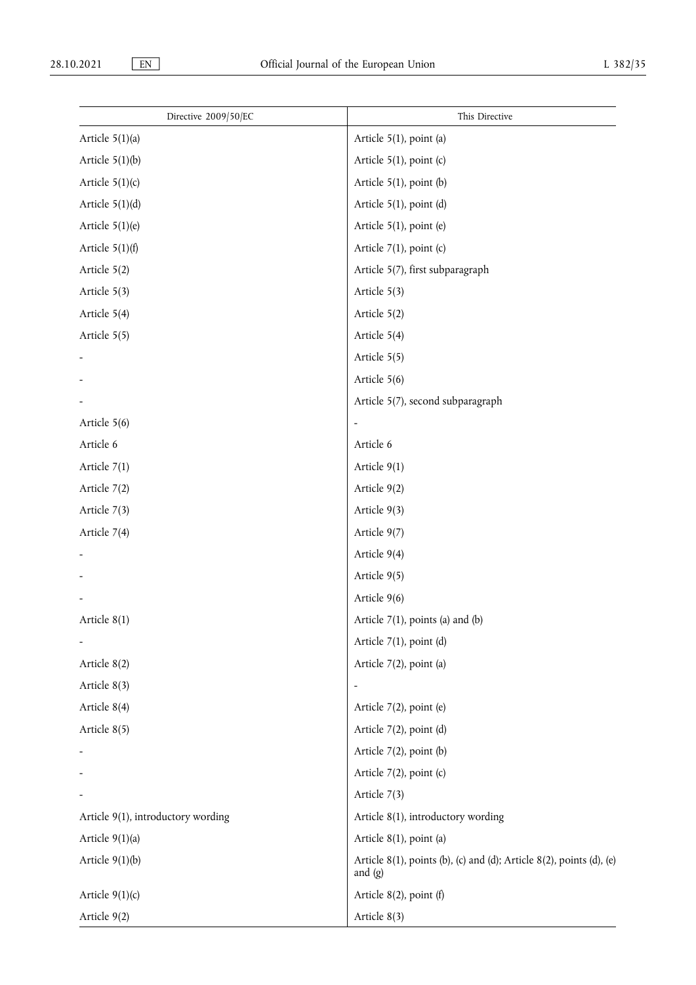| Directive 2009/50/EC               | This Directive                                                                          |
|------------------------------------|-----------------------------------------------------------------------------------------|
| Article $5(1)(a)$                  | Article 5(1), point (a)                                                                 |
| Article $5(1)(b)$                  | Article $5(1)$ , point (c)                                                              |
| Article $5(1)(c)$                  | Article $5(1)$ , point (b)                                                              |
| Article $5(1)(d)$                  | Article 5(1), point (d)                                                                 |
| Article $5(1)(e)$                  | Article $5(1)$ , point (e)                                                              |
| Article $5(1)(f)$                  | Article $7(1)$ , point (c)                                                              |
| Article 5(2)                       | Article 5(7), first subparagraph                                                        |
| Article 5(3)                       | Article 5(3)                                                                            |
| Article 5(4)                       | Article $5(2)$                                                                          |
| Article 5(5)                       | Article 5(4)                                                                            |
|                                    | Article 5(5)                                                                            |
|                                    | Article 5(6)                                                                            |
|                                    | Article 5(7), second subparagraph                                                       |
| Article 5(6)                       | $\overline{\phantom{a}}$                                                                |
| Article 6                          | Article 6                                                                               |
| Article 7(1)                       | Article 9(1)                                                                            |
| Article 7(2)                       | Article 9(2)                                                                            |
| Article 7(3)                       | Article 9(3)                                                                            |
| Article 7(4)                       | Article 9(7)                                                                            |
|                                    | Article 9(4)                                                                            |
|                                    | Article 9(5)                                                                            |
|                                    | Article 9(6)                                                                            |
| Article $8(1)$                     | Article $7(1)$ , points (a) and (b)                                                     |
|                                    | Article $7(1)$ , point (d)                                                              |
| Article 8(2)                       | Article 7(2), point (a)                                                                 |
| Article 8(3)                       |                                                                                         |
| Article 8(4)                       | Article 7(2), point (e)                                                                 |
| Article 8(5)                       | Article 7(2), point (d)                                                                 |
|                                    | Article $7(2)$ , point (b)                                                              |
|                                    | Article 7(2), point (c)                                                                 |
|                                    | Article 7(3)                                                                            |
| Article 9(1), introductory wording | Article 8(1), introductory wording                                                      |
| Article $9(1)(a)$                  | Article 8(1), point (a)                                                                 |
| Article $9(1)(b)$                  | Article $8(1)$ , points (b), (c) and (d); Article $8(2)$ , points (d), (e)<br>and $(g)$ |
| Article $9(1)(c)$                  | Article $8(2)$ , point (f)                                                              |
| Article 9(2)                       | Article 8(3)                                                                            |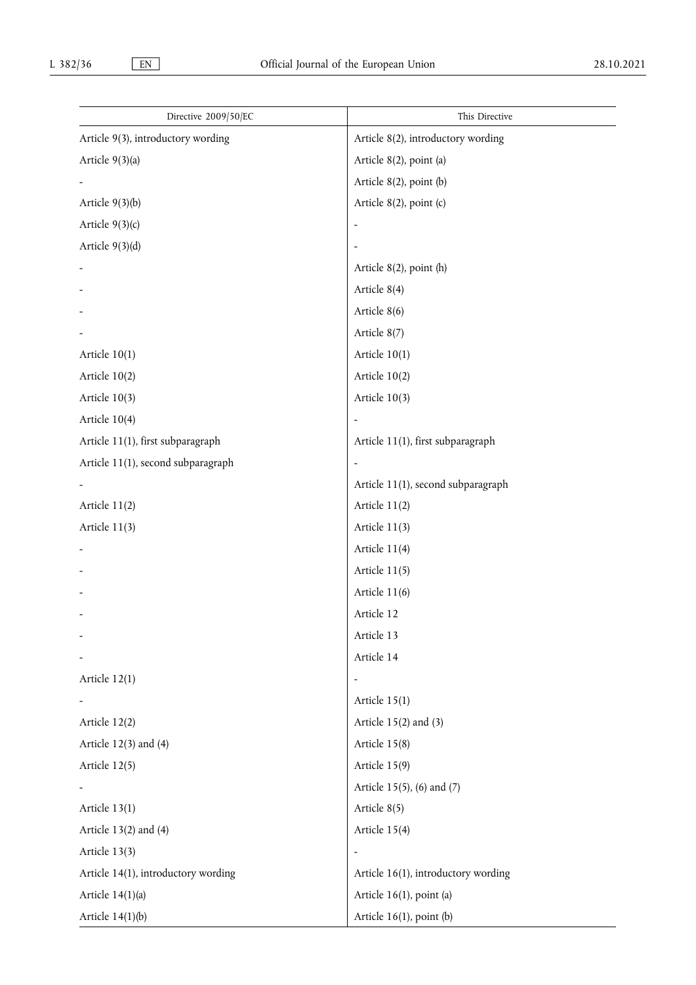| Directive 2009/50/EC                | This Directive                      |
|-------------------------------------|-------------------------------------|
| Article 9(3), introductory wording  | Article 8(2), introductory wording  |
| Article 9(3)(a)                     | Article 8(2), point (a)             |
|                                     | Article $8(2)$ , point (b)          |
| Article $9(3)(b)$                   | Article $8(2)$ , point (c)          |
| Article $9(3)(c)$                   |                                     |
| Article $9(3)(d)$                   |                                     |
|                                     | Article $8(2)$ , point (h)          |
|                                     | Article 8(4)                        |
|                                     | Article 8(6)                        |
|                                     | Article 8(7)                        |
| Article $10(1)$                     | Article $10(1)$                     |
| Article $10(2)$                     | Article $10(2)$                     |
| Article $10(3)$                     | Article $10(3)$                     |
| Article 10(4)                       |                                     |
| Article 11(1), first subparagraph   | Article 11(1), first subparagraph   |
| Article 11(1), second subparagraph  |                                     |
|                                     | Article 11(1), second subparagraph  |
| Article 11(2)                       | Article 11(2)                       |
| Article $11(3)$                     | Article 11(3)                       |
|                                     | Article 11(4)                       |
|                                     | Article 11(5)                       |
|                                     | Article 11(6)                       |
|                                     | Article 12                          |
|                                     | Article 13                          |
|                                     | Article 14                          |
| Article 12(1)                       |                                     |
|                                     | Article 15(1)                       |
| Article 12(2)                       | Article $15(2)$ and $(3)$           |
| Article $12(3)$ and $(4)$           | Article 15(8)                       |
| Article 12(5)                       | Article 15(9)                       |
|                                     | Article 15(5), (6) and (7)          |
| Article 13(1)                       | Article 8(5)                        |
| Article $13(2)$ and $(4)$           | Article 15(4)                       |
| Article 13(3)                       | $\qquad \qquad -$                   |
| Article 14(1), introductory wording | Article 16(1), introductory wording |
| Article $14(1)(a)$                  | Article 16(1), point (a)            |
| Article $14(1)(b)$                  | Article 16(1), point (b)            |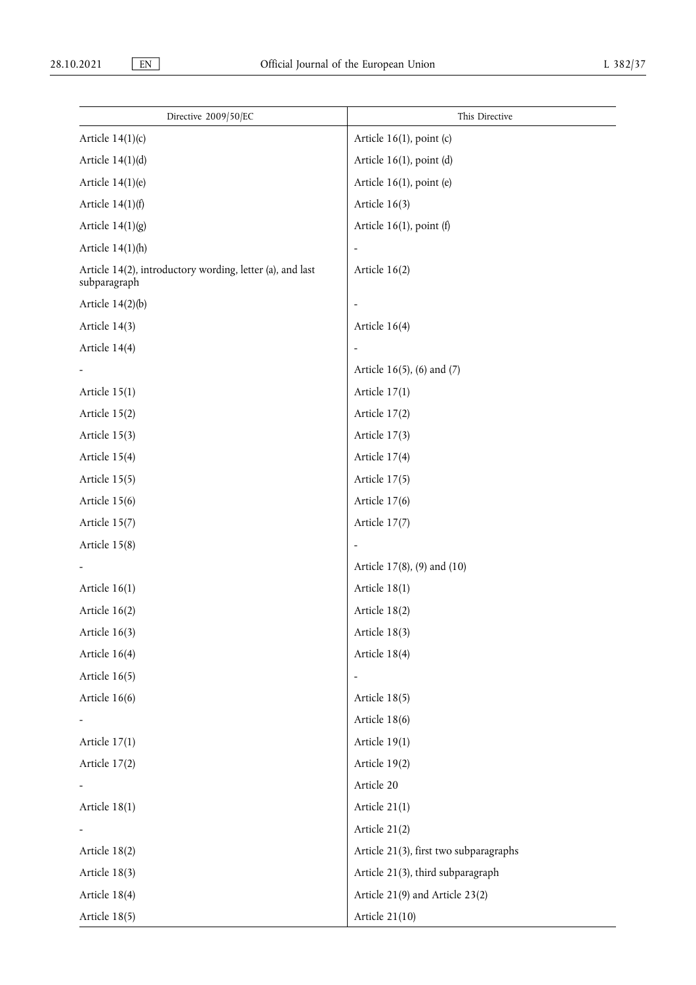| Directive 2009/50/EC                                                      | This Directive                         |
|---------------------------------------------------------------------------|----------------------------------------|
| Article $14(1)(c)$                                                        | Article $16(1)$ , point (c)            |
| Article $14(1)(d)$                                                        | Article $16(1)$ , point (d)            |
| Article $14(1)(e)$                                                        | Article 16(1), point (e)               |
| Article $14(1)(f)$                                                        | Article $16(3)$                        |
| Article $14(1)(g)$                                                        | Article $16(1)$ , point (f)            |
| Article $14(1)$ (h)                                                       | $\overline{\phantom{a}}$               |
| Article 14(2), introductory wording, letter (a), and last<br>subparagraph | Article $16(2)$                        |
| Article $14(2)(b)$                                                        |                                        |
| Article 14(3)                                                             | Article $16(4)$                        |
| Article 14(4)                                                             |                                        |
|                                                                           | Article 16(5), (6) and (7)             |
| Article $15(1)$                                                           | Article $17(1)$                        |
| Article 15(2)                                                             | Article 17(2)                          |
| Article 15(3)                                                             | Article 17(3)                          |
| Article 15(4)                                                             | Article $17(4)$                        |
| Article 15(5)                                                             | Article 17(5)                          |
| Article 15(6)                                                             | Article 17(6)                          |
| Article $15(7)$                                                           | Article 17(7)                          |
| Article 15(8)                                                             |                                        |
|                                                                           | Article 17(8), (9) and (10)            |
| Article $16(1)$                                                           | Article $18(1)$                        |
| Article $16(2)$                                                           | Article 18(2)                          |
| Article $16(3)$                                                           | Article 18(3)                          |
| Article 16(4)                                                             | Article 18(4)                          |
| Article $16(5)$                                                           | $\overline{\phantom{0}}$               |
| Article 16(6)                                                             | Article $18(5)$                        |
|                                                                           | Article 18(6)                          |
| Article $17(1)$                                                           | Article 19(1)                          |
| Article 17(2)                                                             | Article 19(2)                          |
|                                                                           | Article 20                             |
| Article $18(1)$                                                           | Article 21(1)                          |
|                                                                           | Article 21(2)                          |
| Article 18(2)                                                             | Article 21(3), first two subparagraphs |
| Article 18(3)                                                             | Article 21(3), third subparagraph      |
| Article 18(4)                                                             | Article 21(9) and Article 23(2)        |
| Article 18(5)                                                             | Article 21(10)                         |